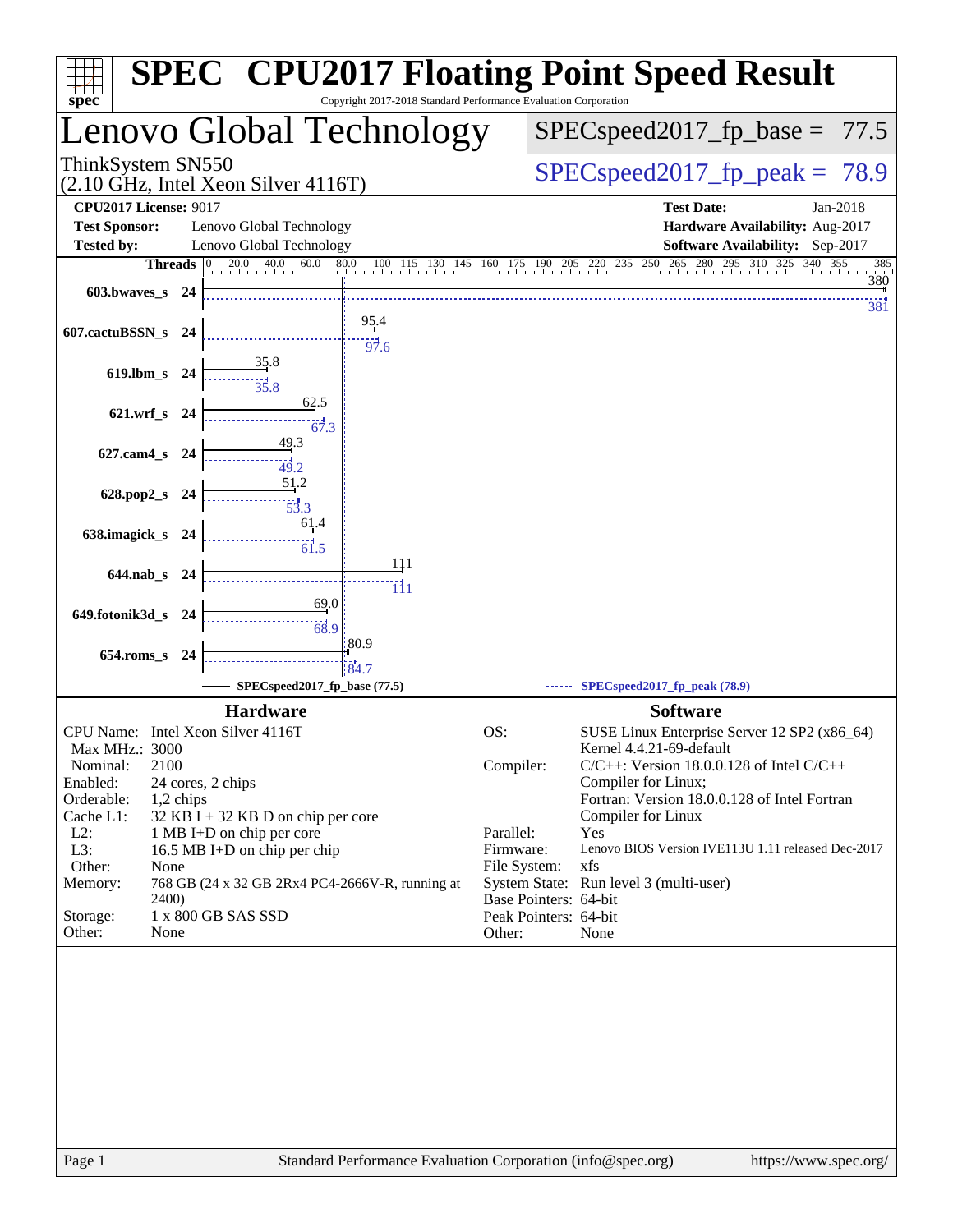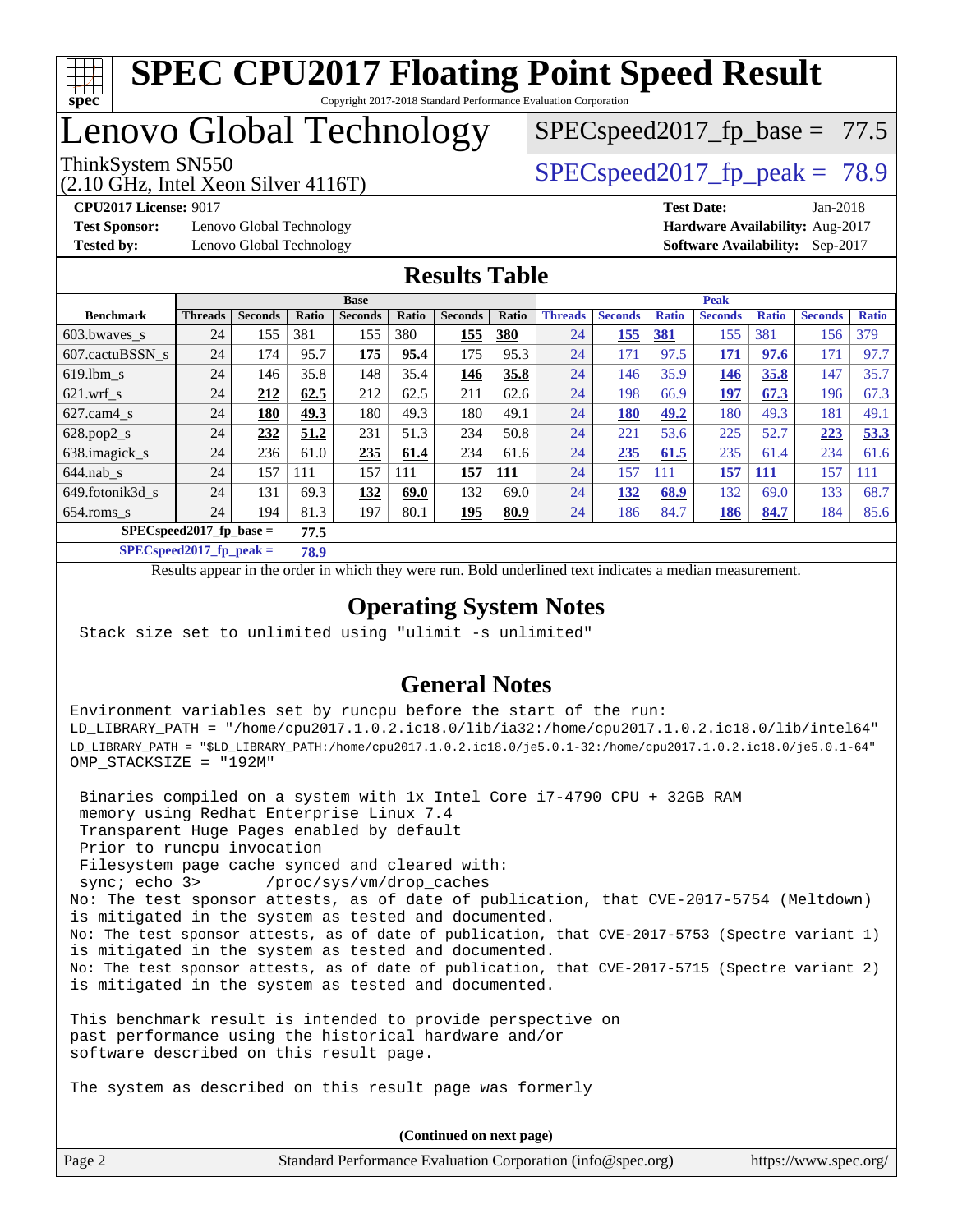

### Lenovo Global Technology

(2.10 GHz, Intel Xeon Silver 4116T)

ThinkSystem SN550  $SPEC speed2017$  fp\_peak = 78.9

 $SPECspeed2017_fp\_base = 77.5$ 

**[Test Sponsor:](http://www.spec.org/auto/cpu2017/Docs/result-fields.html#TestSponsor)** Lenovo Global Technology **[Hardware Availability:](http://www.spec.org/auto/cpu2017/Docs/result-fields.html#HardwareAvailability)** Aug-2017 **[Tested by:](http://www.spec.org/auto/cpu2017/Docs/result-fields.html#Testedby)** Lenovo Global Technology **[Software Availability:](http://www.spec.org/auto/cpu2017/Docs/result-fields.html#SoftwareAvailability)** Sep-2017

**[CPU2017 License:](http://www.spec.org/auto/cpu2017/Docs/result-fields.html#CPU2017License)** 9017 **[Test Date:](http://www.spec.org/auto/cpu2017/Docs/result-fields.html#TestDate)** Jan-2018

#### **[Results Table](http://www.spec.org/auto/cpu2017/Docs/result-fields.html#ResultsTable)**

|                                   | <b>Base</b>    |                |       |                |       |                | <b>Peak</b> |                |                |              |                |              |                |              |
|-----------------------------------|----------------|----------------|-------|----------------|-------|----------------|-------------|----------------|----------------|--------------|----------------|--------------|----------------|--------------|
| <b>Benchmark</b>                  | <b>Threads</b> | <b>Seconds</b> | Ratio | <b>Seconds</b> | Ratio | <b>Seconds</b> | Ratio       | <b>Threads</b> | <b>Seconds</b> | <b>Ratio</b> | <b>Seconds</b> | <b>Ratio</b> | <b>Seconds</b> | <b>Ratio</b> |
| 603.bwayes s                      | 24             | 155            | 381   | 155            | 380   | 155            | 380         | 24             | 155            | <b>381</b>   | 155            | 381          | 156            | 379          |
| 607.cactuBSSN s                   | 24             | 174            | 95.7  | 175            | 95.4  | 175            | 95.3        | 24             | 171            | 97.5         | <u>171</u>     | 97.6         | 171            | 97.7         |
| $619.1$ bm s                      | 24             | 146            | 35.8  | 148            | 35.4  | 146            | 35.8        | 24             | 146            | 35.9         | <u>146</u>     | 35.8         | 147            | 35.7         |
| $621.wrf$ s                       | 24             | 212            | 62.5  | 212            | 62.5  | 211            | 62.6        | 24             | 198            | 66.9         | <u>197</u>     | 67.3         | 196            | 67.3         |
| $627$ .cam $4$ s                  | 24             | 180            | 49.3  | 180            | 49.3  | 180            | 49.1        | 24             | 180            | 49.2         | 180            | 49.3         | 181            | 49.1         |
| $628.pop2_s$                      | 24             | 232            | 51.2  | 231            | 51.3  | 234            | 50.8        | 24             | 221            | 53.6         | 225            | 52.7         | 223            | 53.3         |
| 638. imagick_s                    | 24             | 236            | 61.0  | 235            | 61.4  | 234            | 61.6        | 24             | 235            | 61.5         | 235            | 61.4         | 234            | 61.6         |
| $644$ .nab s                      | 24             | 157            | 111   | 157            | 111   | 157            | <b>111</b>  | 24             | 157            | 111          | 157            | 111          | 157            | 111          |
| 649.fotonik3d s                   | 24             | 131            | 69.3  | 132            | 69.0  | 132            | 69.0        | 24             | 132            | 68.9         | 132            | 69.0         | 133            | 68.7         |
| $654$ .roms s                     | 24             | 194            | 81.3  | 197            | 80.1  | 195            | 80.9        | 24             | 186            | 84.7         | <b>186</b>     | 84.7         | 184            | 85.6         |
| $SPECspeed2017$ fp base =<br>77.5 |                |                |       |                |       |                |             |                |                |              |                |              |                |              |

**[SPECspeed2017\\_fp\\_peak =](http://www.spec.org/auto/cpu2017/Docs/result-fields.html#SPECspeed2017fppeak) 78.9**

Results appear in the [order in which they were run.](http://www.spec.org/auto/cpu2017/Docs/result-fields.html#RunOrder) Bold underlined text [indicates a median measurement](http://www.spec.org/auto/cpu2017/Docs/result-fields.html#Median).

### **[Operating System Notes](http://www.spec.org/auto/cpu2017/Docs/result-fields.html#OperatingSystemNotes)**

Stack size set to unlimited using "ulimit -s unlimited"

#### **[General Notes](http://www.spec.org/auto/cpu2017/Docs/result-fields.html#GeneralNotes)**

Environment variables set by runcpu before the start of the run: LD\_LIBRARY\_PATH = "/home/cpu2017.1.0.2.ic18.0/lib/ia32:/home/cpu2017.1.0.2.ic18.0/lib/intel64" LD\_LIBRARY\_PATH = "\$LD\_LIBRARY\_PATH:/home/cpu2017.1.0.2.ic18.0/je5.0.1-32:/home/cpu2017.1.0.2.ic18.0/je5.0.1-64" OMP\_STACKSIZE = "192M"

 Binaries compiled on a system with 1x Intel Core i7-4790 CPU + 32GB RAM memory using Redhat Enterprise Linux 7.4 Transparent Huge Pages enabled by default Prior to runcpu invocation Filesystem page cache synced and cleared with: sync; echo 3> /proc/sys/vm/drop\_caches No: The test sponsor attests, as of date of publication, that CVE-2017-5754 (Meltdown) is mitigated in the system as tested and documented. No: The test sponsor attests, as of date of publication, that CVE-2017-5753 (Spectre variant 1) is mitigated in the system as tested and documented. No: The test sponsor attests, as of date of publication, that CVE-2017-5715 (Spectre variant 2) is mitigated in the system as tested and documented.

This benchmark result is intended to provide perspective on past performance using the historical hardware and/or software described on this result page.

The system as described on this result page was formerly

Page 2 Standard Performance Evaluation Corporation [\(info@spec.org\)](mailto:info@spec.org) <https://www.spec.org/> **(Continued on next page)**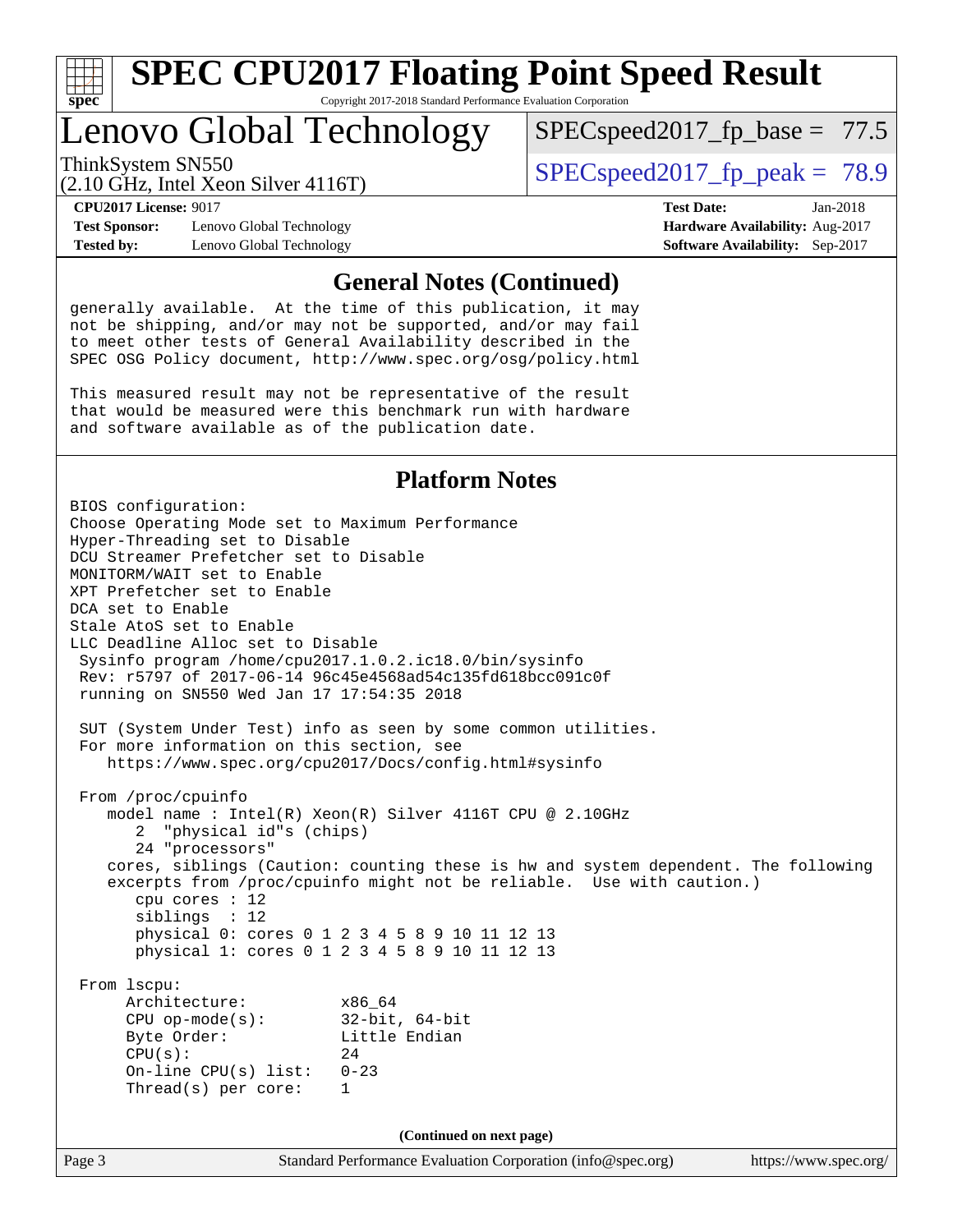

### Lenovo Global Technology

ThinkSystem SN550  $SPEC speed2017$  fp\_peak = 78.9

 $SPECspeed2017_fp\_base = 77.5$ 

(2.10 GHz, Intel Xeon Silver 4116T)

**[Test Sponsor:](http://www.spec.org/auto/cpu2017/Docs/result-fields.html#TestSponsor)** Lenovo Global Technology **[Hardware Availability:](http://www.spec.org/auto/cpu2017/Docs/result-fields.html#HardwareAvailability)** Aug-2017 **[Tested by:](http://www.spec.org/auto/cpu2017/Docs/result-fields.html#Testedby)** Lenovo Global Technology **[Software Availability:](http://www.spec.org/auto/cpu2017/Docs/result-fields.html#SoftwareAvailability)** Sep-2017

**[CPU2017 License:](http://www.spec.org/auto/cpu2017/Docs/result-fields.html#CPU2017License)** 9017 **[Test Date:](http://www.spec.org/auto/cpu2017/Docs/result-fields.html#TestDate)** Jan-2018

#### **[General Notes \(Continued\)](http://www.spec.org/auto/cpu2017/Docs/result-fields.html#GeneralNotes)**

generally available. At the time of this publication, it may not be shipping, and/or may not be supported, and/or may fail to meet other tests of General Availability described in the SPEC OSG Policy document, <http://www.spec.org/osg/policy.html>

This measured result may not be representative of the result that would be measured were this benchmark run with hardware and software available as of the publication date.

#### **[Platform Notes](http://www.spec.org/auto/cpu2017/Docs/result-fields.html#PlatformNotes)**

Page 3 Standard Performance Evaluation Corporation [\(info@spec.org\)](mailto:info@spec.org) <https://www.spec.org/> BIOS configuration: Choose Operating Mode set to Maximum Performance Hyper-Threading set to Disable DCU Streamer Prefetcher set to Disable MONITORM/WAIT set to Enable XPT Prefetcher set to Enable DCA set to Enable Stale AtoS set to Enable LLC Deadline Alloc set to Disable Sysinfo program /home/cpu2017.1.0.2.ic18.0/bin/sysinfo Rev: r5797 of 2017-06-14 96c45e4568ad54c135fd618bcc091c0f running on SN550 Wed Jan 17 17:54:35 2018 SUT (System Under Test) info as seen by some common utilities. For more information on this section, see <https://www.spec.org/cpu2017/Docs/config.html#sysinfo> From /proc/cpuinfo model name : Intel(R) Xeon(R) Silver 4116T CPU @ 2.10GHz 2 "physical id"s (chips) 24 "processors" cores, siblings (Caution: counting these is hw and system dependent. The following excerpts from /proc/cpuinfo might not be reliable. Use with caution.) cpu cores : 12 siblings : 12 physical 0: cores 0 1 2 3 4 5 8 9 10 11 12 13 physical 1: cores 0 1 2 3 4 5 8 9 10 11 12 13 From lscpu: Architecture: x86\_64 CPU op-mode(s): 32-bit, 64-bit Byte Order: Little Endian  $CPU(s):$  24 On-line CPU(s) list: 0-23 Thread(s) per core: 1 **(Continued on next page)**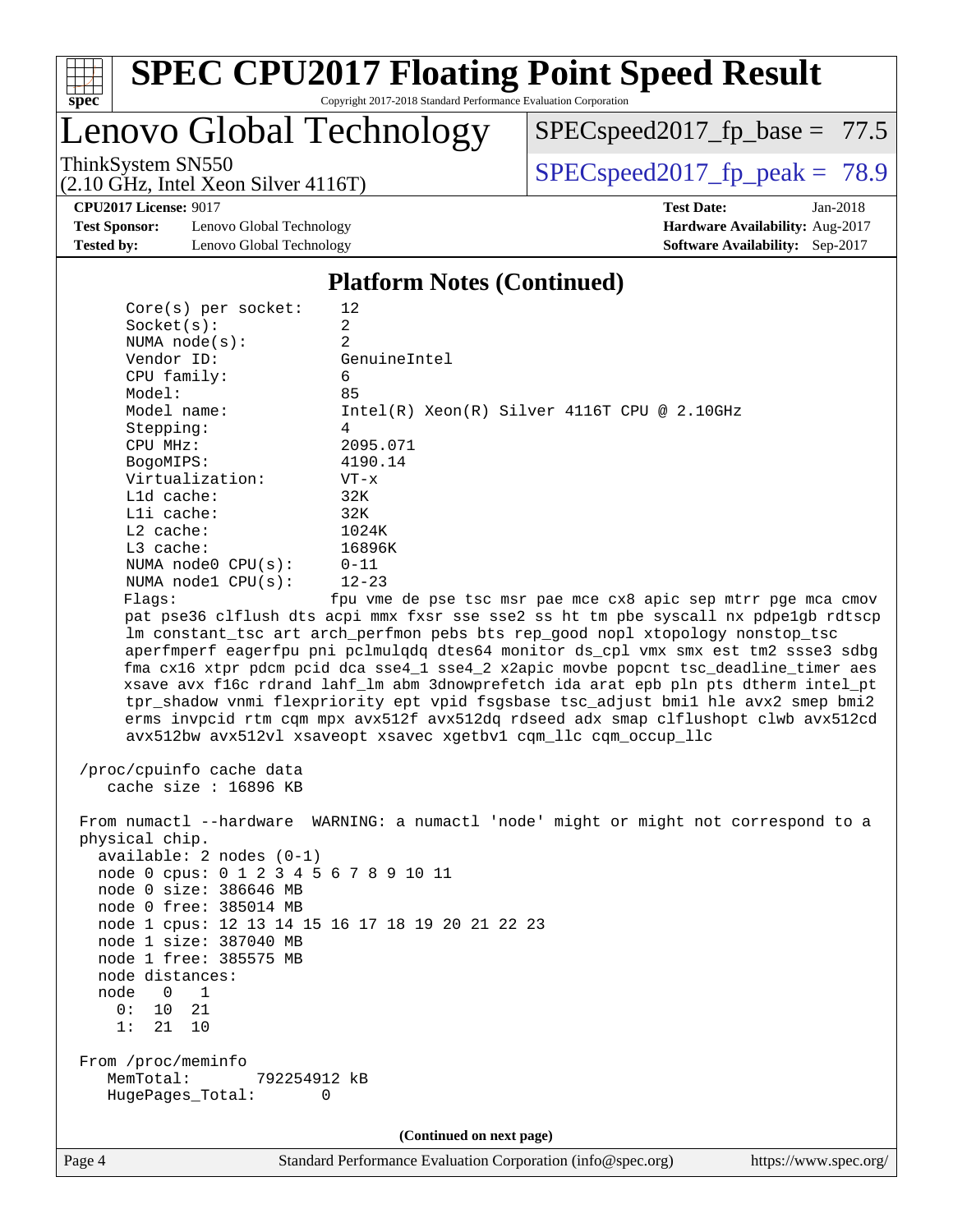

# **[SPEC CPU2017 Floating Point Speed Result](http://www.spec.org/auto/cpu2017/Docs/result-fields.html#SPECCPU2017FloatingPointSpeedResult)**

Copyright 2017-2018 Standard Performance Evaluation Corporation

Lenovo Global Technology

[SPECspeed2017\\_fp\\_base =](http://www.spec.org/auto/cpu2017/Docs/result-fields.html#SPECspeed2017fpbase) 77.5

(2.10 GHz, Intel Xeon Silver 4116T)

ThinkSystem SN550<br>  $(2.10 \text{ GHz})$  Intel Xeon Silver 4116T) [SPECspeed2017\\_fp\\_peak =](http://www.spec.org/auto/cpu2017/Docs/result-fields.html#SPECspeed2017fppeak) 78.9

**[CPU2017 License:](http://www.spec.org/auto/cpu2017/Docs/result-fields.html#CPU2017License)** 9017 **[Test Date:](http://www.spec.org/auto/cpu2017/Docs/result-fields.html#TestDate)** Jan-2018

**[Test Sponsor:](http://www.spec.org/auto/cpu2017/Docs/result-fields.html#TestSponsor)** Lenovo Global Technology **[Hardware Availability:](http://www.spec.org/auto/cpu2017/Docs/result-fields.html#HardwareAvailability)** Aug-2017 **[Tested by:](http://www.spec.org/auto/cpu2017/Docs/result-fields.html#Testedby)** Lenovo Global Technology **[Software Availability:](http://www.spec.org/auto/cpu2017/Docs/result-fields.html#SoftwareAvailability)** Sep-2017

#### **[Platform Notes \(Continued\)](http://www.spec.org/auto/cpu2017/Docs/result-fields.html#PlatformNotes)**

| Page 4 |                                                                                                          | Standard Performance Evaluation Corporation (info@spec.org)                                                                                                                                                                                                                                                                                                                                                                                                                                                                                                                                                                                                                                                                                                                                                         | https://www.spec.org/ |
|--------|----------------------------------------------------------------------------------------------------------|---------------------------------------------------------------------------------------------------------------------------------------------------------------------------------------------------------------------------------------------------------------------------------------------------------------------------------------------------------------------------------------------------------------------------------------------------------------------------------------------------------------------------------------------------------------------------------------------------------------------------------------------------------------------------------------------------------------------------------------------------------------------------------------------------------------------|-----------------------|
|        |                                                                                                          | (Continued on next page)                                                                                                                                                                                                                                                                                                                                                                                                                                                                                                                                                                                                                                                                                                                                                                                            |                       |
|        | From /proc/meminfo<br>MemTotal:<br>792254912 kB<br>HugePages_Total:<br>0                                 |                                                                                                                                                                                                                                                                                                                                                                                                                                                                                                                                                                                                                                                                                                                                                                                                                     |                       |
|        |                                                                                                          |                                                                                                                                                                                                                                                                                                                                                                                                                                                                                                                                                                                                                                                                                                                                                                                                                     |                       |
|        | 10<br>21<br>0:<br>1:<br>21<br>10                                                                         |                                                                                                                                                                                                                                                                                                                                                                                                                                                                                                                                                                                                                                                                                                                                                                                                                     |                       |
| node   | 0<br>1                                                                                                   |                                                                                                                                                                                                                                                                                                                                                                                                                                                                                                                                                                                                                                                                                                                                                                                                                     |                       |
|        | node distances:                                                                                          |                                                                                                                                                                                                                                                                                                                                                                                                                                                                                                                                                                                                                                                                                                                                                                                                                     |                       |
|        | node 1 free: 385575 MB                                                                                   |                                                                                                                                                                                                                                                                                                                                                                                                                                                                                                                                                                                                                                                                                                                                                                                                                     |                       |
|        | node 1 size: 387040 MB                                                                                   |                                                                                                                                                                                                                                                                                                                                                                                                                                                                                                                                                                                                                                                                                                                                                                                                                     |                       |
|        |                                                                                                          | node 1 cpus: 12 13 14 15 16 17 18 19 20 21 22 23                                                                                                                                                                                                                                                                                                                                                                                                                                                                                                                                                                                                                                                                                                                                                                    |                       |
|        | node 0 free: 385014 MB                                                                                   |                                                                                                                                                                                                                                                                                                                                                                                                                                                                                                                                                                                                                                                                                                                                                                                                                     |                       |
|        | node 0 size: 386646 MB                                                                                   |                                                                                                                                                                                                                                                                                                                                                                                                                                                                                                                                                                                                                                                                                                                                                                                                                     |                       |
|        | node 0 cpus: 0 1 2 3 4 5 6 7 8 9 10 11                                                                   |                                                                                                                                                                                                                                                                                                                                                                                                                                                                                                                                                                                                                                                                                                                                                                                                                     |                       |
|        | $available: 2 nodes (0-1)$                                                                               |                                                                                                                                                                                                                                                                                                                                                                                                                                                                                                                                                                                                                                                                                                                                                                                                                     |                       |
|        | physical chip.                                                                                           | From numactl --hardware WARNING: a numactl 'node' might or might not correspond to a                                                                                                                                                                                                                                                                                                                                                                                                                                                                                                                                                                                                                                                                                                                                |                       |
|        |                                                                                                          |                                                                                                                                                                                                                                                                                                                                                                                                                                                                                                                                                                                                                                                                                                                                                                                                                     |                       |
|        | cache size : 16896 KB                                                                                    |                                                                                                                                                                                                                                                                                                                                                                                                                                                                                                                                                                                                                                                                                                                                                                                                                     |                       |
|        | /proc/cpuinfo cache data                                                                                 |                                                                                                                                                                                                                                                                                                                                                                                                                                                                                                                                                                                                                                                                                                                                                                                                                     |                       |
|        | L1d cache:<br>Lli cache:<br>L2 cache:<br>L3 cache:<br>NUMA node0 CPU(s):<br>NUMA nodel CPU(s):<br>Flags: | 32K<br>32K<br>1024K<br>16896K<br>$0 - 11$<br>$12 - 23$<br>fpu vme de pse tsc msr pae mce cx8 apic sep mtrr pge mca cmov<br>pat pse36 clflush dts acpi mmx fxsr sse sse2 ss ht tm pbe syscall nx pdpelgb rdtscp<br>lm constant_tsc art arch_perfmon pebs bts rep_good nopl xtopology nonstop_tsc<br>aperfmperf eagerfpu pni pclmulqdq dtes64 monitor ds_cpl vmx smx est tm2 ssse3 sdbg<br>fma cx16 xtpr pdcm pcid dca sse4_1 sse4_2 x2apic movbe popcnt tsc_deadline_timer aes<br>xsave avx f16c rdrand lahf_lm abm 3dnowprefetch ida arat epb pln pts dtherm intel_pt<br>tpr_shadow vnmi flexpriority ept vpid fsgsbase tsc_adjust bmil hle avx2 smep bmi2<br>erms invpcid rtm cqm mpx avx512f avx512dq rdseed adx smap clflushopt clwb avx512cd<br>avx512bw avx512vl xsaveopt xsavec xgetbvl cqm_llc cqm_occup_llc |                       |
|        | Virtualization:                                                                                          | $VT - x$                                                                                                                                                                                                                                                                                                                                                                                                                                                                                                                                                                                                                                                                                                                                                                                                            |                       |
|        | BogoMIPS:                                                                                                | 4190.14                                                                                                                                                                                                                                                                                                                                                                                                                                                                                                                                                                                                                                                                                                                                                                                                             |                       |
|        | CPU MHz:                                                                                                 | 2095.071                                                                                                                                                                                                                                                                                                                                                                                                                                                                                                                                                                                                                                                                                                                                                                                                            |                       |
|        | Stepping:                                                                                                | 4                                                                                                                                                                                                                                                                                                                                                                                                                                                                                                                                                                                                                                                                                                                                                                                                                   |                       |
|        | Model name:                                                                                              | $Intel(R)$ Xeon $(R)$ Silver 4116T CPU @ 2.10GHz                                                                                                                                                                                                                                                                                                                                                                                                                                                                                                                                                                                                                                                                                                                                                                    |                       |
|        | Model:                                                                                                   | 85                                                                                                                                                                                                                                                                                                                                                                                                                                                                                                                                                                                                                                                                                                                                                                                                                  |                       |
|        | CPU family:                                                                                              | 6                                                                                                                                                                                                                                                                                                                                                                                                                                                                                                                                                                                                                                                                                                                                                                                                                   |                       |
|        | Vendor ID:                                                                                               | GenuineIntel                                                                                                                                                                                                                                                                                                                                                                                                                                                                                                                                                                                                                                                                                                                                                                                                        |                       |
|        | NUMA $node(s)$ :                                                                                         | 2                                                                                                                                                                                                                                                                                                                                                                                                                                                                                                                                                                                                                                                                                                                                                                                                                   |                       |
|        | Socket(s):                                                                                               | $\overline{a}$                                                                                                                                                                                                                                                                                                                                                                                                                                                                                                                                                                                                                                                                                                                                                                                                      |                       |
|        | $Core(s)$ per socket:                                                                                    | 12                                                                                                                                                                                                                                                                                                                                                                                                                                                                                                                                                                                                                                                                                                                                                                                                                  |                       |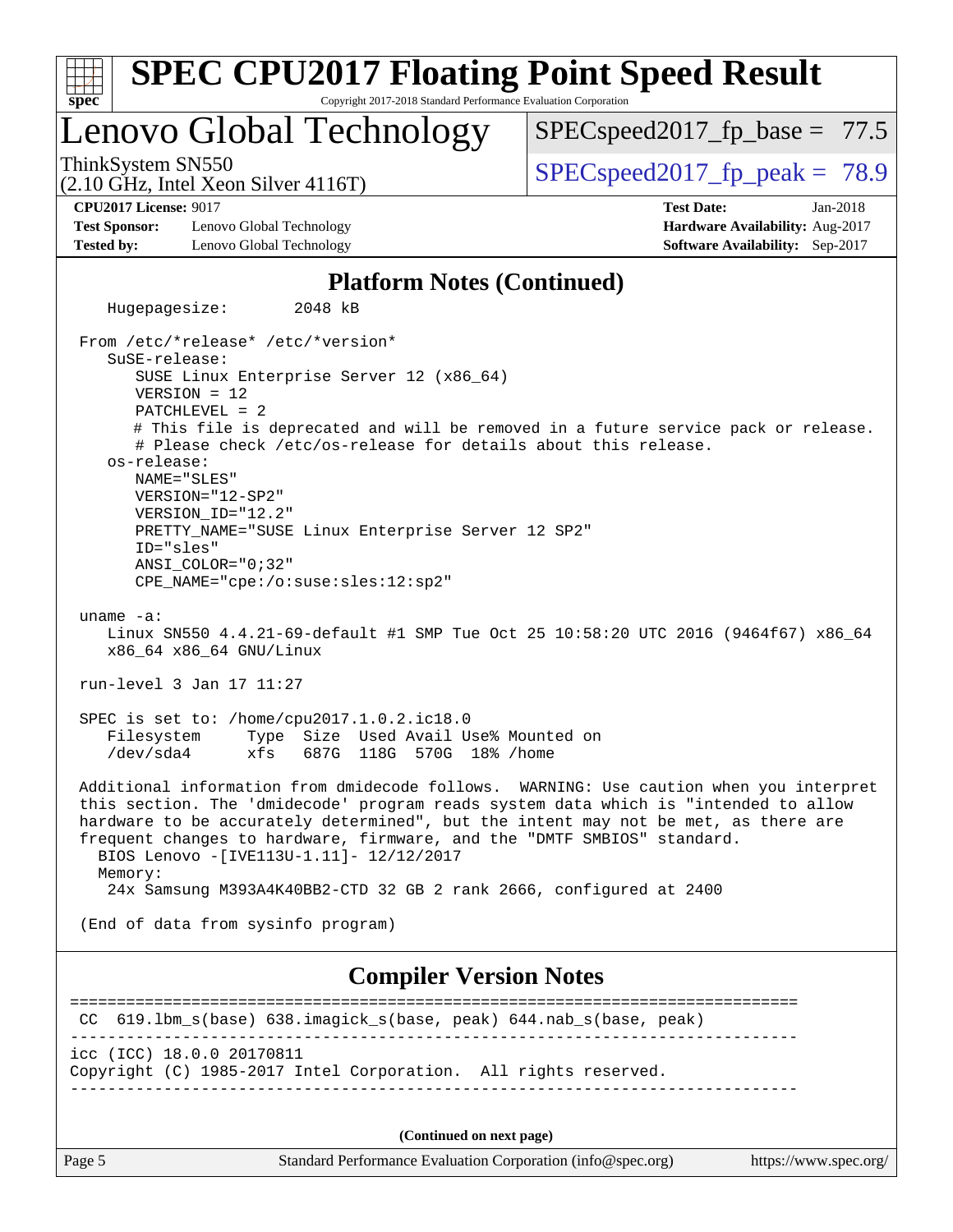| <b>SPEC CPU2017 Floating Point Speed Result</b>                                                                                                                                                                                                                                                                                                                                                       |                                                                                                       |
|-------------------------------------------------------------------------------------------------------------------------------------------------------------------------------------------------------------------------------------------------------------------------------------------------------------------------------------------------------------------------------------------------------|-------------------------------------------------------------------------------------------------------|
| Copyright 2017-2018 Standard Performance Evaluation Corporation<br>$spec^*$<br>Lenovo Global Technology                                                                                                                                                                                                                                                                                               | $SPEC speed2017_f p\_base = 77.5$                                                                     |
| ThinkSystem SN550<br>$(2.10 \text{ GHz}, \text{Intel Xeon Silver } 4116 \text{T})$                                                                                                                                                                                                                                                                                                                    | $SPEC speed2017fp peak = 78.9$                                                                        |
| <b>CPU2017 License: 9017</b><br><b>Test Sponsor:</b><br>Lenovo Global Technology<br><b>Tested by:</b><br>Lenovo Global Technology                                                                                                                                                                                                                                                                     | <b>Test Date:</b><br>$Jan-2018$<br>Hardware Availability: Aug-2017<br>Software Availability: Sep-2017 |
| <b>Platform Notes (Continued)</b>                                                                                                                                                                                                                                                                                                                                                                     |                                                                                                       |
| Hugepagesize:<br>2048 kB                                                                                                                                                                                                                                                                                                                                                                              |                                                                                                       |
| From /etc/*release* /etc/*version*<br>SuSE-release:<br>SUSE Linux Enterprise Server 12 (x86_64)<br>$VERSION = 12$<br>PATCHLEVEL = 2<br># This file is deprecated and will be removed in a future service pack or release.<br># Please check /etc/os-release for details about this release.                                                                                                           |                                                                                                       |
| os-release:<br>NAME="SLES"<br>VERSION="12-SP2"<br>VERSION_ID="12.2"<br>PRETTY_NAME="SUSE Linux Enterprise Server 12 SP2"<br>ID="sles"<br>$ANSI$ _COLOR=" $0:32$ "<br>CPE_NAME="cpe:/o:suse:sles:12:sp2"                                                                                                                                                                                               |                                                                                                       |
| uname $-a$ :<br>Linux SN550 4.4.21-69-default #1 SMP Tue Oct 25 10:58:20 UTC 2016 (9464f67) x86_64<br>x86_64 x86_64 GNU/Linux                                                                                                                                                                                                                                                                         |                                                                                                       |
| run-level 3 Jan 17 11:27                                                                                                                                                                                                                                                                                                                                                                              |                                                                                                       |
| SPEC is set to: /home/cpu2017.1.0.2.ic18.0<br>Filesystem Type Size Used Avail Use% Mounted on<br>/dev/sda4<br>xfs 687G 118G 570G 18% / home                                                                                                                                                                                                                                                           |                                                                                                       |
| Additional information from dmidecode follows. WARNING: Use caution when you interpret<br>this section. The 'dmidecode' program reads system data which is "intended to allow<br>hardware to be accurately determined", but the intent may not be met, as there are<br>frequent changes to hardware, firmware, and the "DMTF SMBIOS" standard.<br>BIOS Lenovo - [IVE113U-1.11]- 12/12/2017<br>Memory: |                                                                                                       |
| 24x Samsung M393A4K40BB2-CTD 32 GB 2 rank 2666, configured at 2400                                                                                                                                                                                                                                                                                                                                    |                                                                                                       |
| (End of data from sysinfo program)                                                                                                                                                                                                                                                                                                                                                                    |                                                                                                       |
| <b>Compiler Version Notes</b>                                                                                                                                                                                                                                                                                                                                                                         |                                                                                                       |
| CC 619.1bm_s(base) 638.imagick_s(base, peak) 644.nab_s(base, peak)                                                                                                                                                                                                                                                                                                                                    |                                                                                                       |
| icc (ICC) 18.0.0 20170811<br>Copyright (C) 1985-2017 Intel Corporation. All rights reserved.                                                                                                                                                                                                                                                                                                          |                                                                                                       |
| (Continued on next page)                                                                                                                                                                                                                                                                                                                                                                              |                                                                                                       |

Page 5 Standard Performance Evaluation Corporation [\(info@spec.org\)](mailto:info@spec.org) <https://www.spec.org/>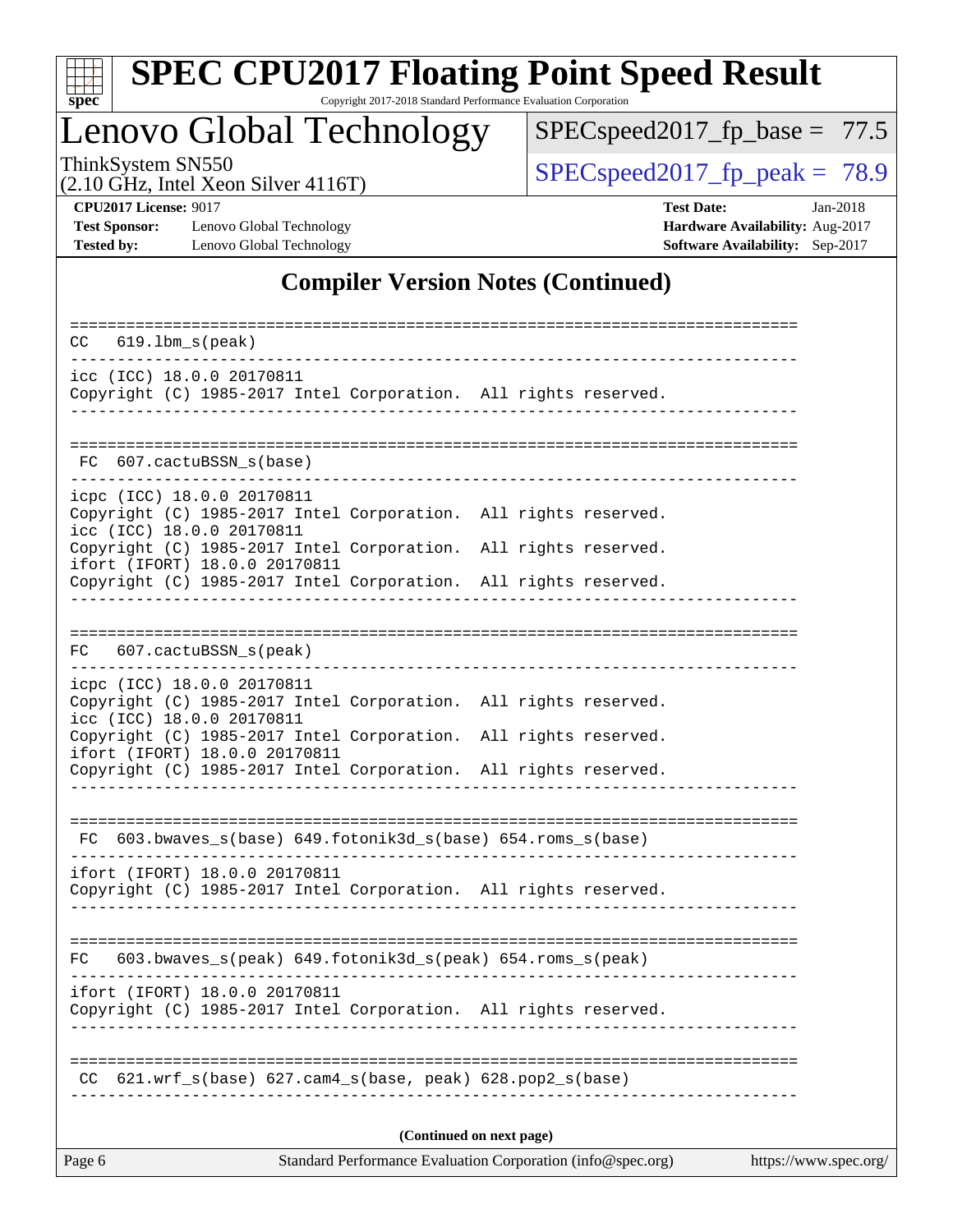

# **[SPEC CPU2017 Floating Point Speed Result](http://www.spec.org/auto/cpu2017/Docs/result-fields.html#SPECCPU2017FloatingPointSpeedResult)**

Copyright 2017-2018 Standard Performance Evaluation Corporation

# Lenovo Global Technology

[SPECspeed2017\\_fp\\_base =](http://www.spec.org/auto/cpu2017/Docs/result-fields.html#SPECspeed2017fpbase) 77.5

(2.10 GHz, Intel Xeon Silver 4116T)

ThinkSystem SN550<br>  $(2.10 \text{ GHz})$  Intel Xeon Silver 4116T) [SPECspeed2017\\_fp\\_peak =](http://www.spec.org/auto/cpu2017/Docs/result-fields.html#SPECspeed2017fppeak) 78.9

**[Tested by:](http://www.spec.org/auto/cpu2017/Docs/result-fields.html#Testedby)** Lenovo Global Technology **[Software Availability:](http://www.spec.org/auto/cpu2017/Docs/result-fields.html#SoftwareAvailability)** Sep-2017

**[CPU2017 License:](http://www.spec.org/auto/cpu2017/Docs/result-fields.html#CPU2017License)** 9017 **[Test Date:](http://www.spec.org/auto/cpu2017/Docs/result-fields.html#TestDate)** Jan-2018 **[Test Sponsor:](http://www.spec.org/auto/cpu2017/Docs/result-fields.html#TestSponsor)** Lenovo Global Technology **[Hardware Availability:](http://www.spec.org/auto/cpu2017/Docs/result-fields.html#HardwareAvailability)** Aug-2017

### **[Compiler Version Notes \(Continued\)](http://www.spec.org/auto/cpu2017/Docs/result-fields.html#CompilerVersionNotes)**

| $619.1$ bm_s(peak)<br>CC.                                                                                                                                           |  |  |  |  |  |  |
|---------------------------------------------------------------------------------------------------------------------------------------------------------------------|--|--|--|--|--|--|
| icc (ICC) 18.0.0 20170811<br>Copyright (C) 1985-2017 Intel Corporation. All rights reserved.                                                                        |  |  |  |  |  |  |
| 607.cactuBSSN_s(base)<br>FC.                                                                                                                                        |  |  |  |  |  |  |
| icpc (ICC) 18.0.0 20170811<br>Copyright (C) 1985-2017 Intel Corporation. All rights reserved.<br>icc (ICC) 18.0.0 20170811                                          |  |  |  |  |  |  |
| Copyright (C) 1985-2017 Intel Corporation. All rights reserved.<br>ifort (IFORT) 18.0.0 20170811<br>Copyright (C) 1985-2017 Intel Corporation. All rights reserved. |  |  |  |  |  |  |
| FC 607.cactuBSSN_s(peak)                                                                                                                                            |  |  |  |  |  |  |
| icpc (ICC) 18.0.0 20170811<br>Copyright (C) 1985-2017 Intel Corporation. All rights reserved.<br>icc (ICC) 18.0.0 20170811                                          |  |  |  |  |  |  |
| Copyright (C) 1985-2017 Intel Corporation. All rights reserved.<br>ifort (IFORT) 18.0.0 20170811<br>Copyright (C) 1985-2017 Intel Corporation. All rights reserved. |  |  |  |  |  |  |
| FC 603.bwaves_s(base) 649.fotonik3d_s(base) 654.roms_s(base)                                                                                                        |  |  |  |  |  |  |
| ifort (IFORT) 18.0.0 20170811<br>Copyright (C) 1985-2017 Intel Corporation. All rights reserved.                                                                    |  |  |  |  |  |  |
| FC 603.bwaves_s(peak) 649.fotonik3d_s(peak) 654.roms_s(peak)                                                                                                        |  |  |  |  |  |  |
| ifort (IFORT) 18.0.0 20170811<br>Copyright (C) 1985-2017 Intel Corporation. All rights reserved.                                                                    |  |  |  |  |  |  |
| $621.wrf_s(base)$ $627.cam4_s(base, peak)$ $628.pop2_s(base)$                                                                                                       |  |  |  |  |  |  |
| (Continued on next page)                                                                                                                                            |  |  |  |  |  |  |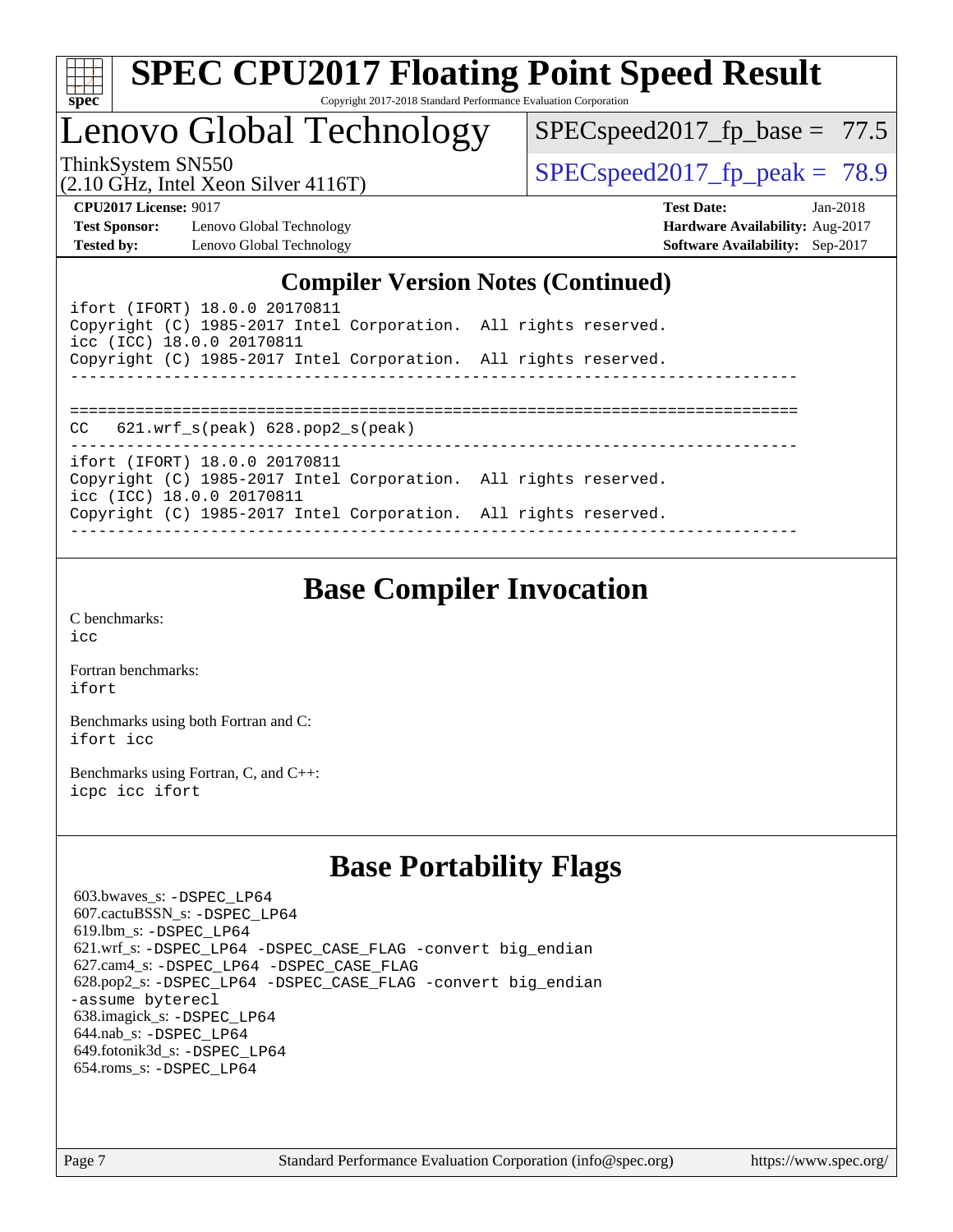| ч<br>e<br>ı.<br>c |  |  |  |  |
|-------------------|--|--|--|--|

## Lenovo Global Technology

[SPECspeed2017\\_fp\\_base =](http://www.spec.org/auto/cpu2017/Docs/result-fields.html#SPECspeed2017fpbase) 77.5

(2.10 GHz, Intel Xeon Silver 4116T)

ThinkSystem SN550<br>  $(2.10 \text{ GHz})$  Think Year Silver 4116T) SPECspeed 2017 fp peak = 78.9

**[Test Sponsor:](http://www.spec.org/auto/cpu2017/Docs/result-fields.html#TestSponsor)** Lenovo Global Technology **[Hardware Availability:](http://www.spec.org/auto/cpu2017/Docs/result-fields.html#HardwareAvailability)** Aug-2017 **[Tested by:](http://www.spec.org/auto/cpu2017/Docs/result-fields.html#Testedby)** Lenovo Global Technology **[Software Availability:](http://www.spec.org/auto/cpu2017/Docs/result-fields.html#SoftwareAvailability)** Sep-2017

**[CPU2017 License:](http://www.spec.org/auto/cpu2017/Docs/result-fields.html#CPU2017License)** 9017 **[Test Date:](http://www.spec.org/auto/cpu2017/Docs/result-fields.html#TestDate)** Jan-2018

### **[Compiler Version Notes \(Continued\)](http://www.spec.org/auto/cpu2017/Docs/result-fields.html#CompilerVersionNotes)**

| ifort (IFORT) 18.0.0 20170811<br>Copyright (C) 1985-2017 Intel Corporation. All rights reserved.<br>icc (ICC) 18.0.0 20170811 |  |
|-------------------------------------------------------------------------------------------------------------------------------|--|
| Copyright (C) 1985-2017 Intel Corporation. All rights reserved.                                                               |  |
|                                                                                                                               |  |
|                                                                                                                               |  |
| $621.wrf$ s(peak) $628.pop2$ s(peak)<br>CC.                                                                                   |  |
|                                                                                                                               |  |
| ifort (IFORT) 18.0.0 20170811<br>Copyright (C) 1985-2017 Intel Corporation. All rights reserved.<br>icc (ICC) 18.0.0 20170811 |  |
| Copyright (C) 1985-2017 Intel Corporation. All rights reserved.                                                               |  |
|                                                                                                                               |  |

### **[Base Compiler Invocation](http://www.spec.org/auto/cpu2017/Docs/result-fields.html#BaseCompilerInvocation)**

[C benchmarks](http://www.spec.org/auto/cpu2017/Docs/result-fields.html#Cbenchmarks): [icc](http://www.spec.org/cpu2017/results/res2018q1/cpu2017-20180122-03031.flags.html#user_CCbase_intel_icc_18.0_66fc1ee009f7361af1fbd72ca7dcefbb700085f36577c54f309893dd4ec40d12360134090235512931783d35fd58c0460139e722d5067c5574d8eaf2b3e37e92)

[Fortran benchmarks](http://www.spec.org/auto/cpu2017/Docs/result-fields.html#Fortranbenchmarks): [ifort](http://www.spec.org/cpu2017/results/res2018q1/cpu2017-20180122-03031.flags.html#user_FCbase_intel_ifort_18.0_8111460550e3ca792625aed983ce982f94888b8b503583aa7ba2b8303487b4d8a21a13e7191a45c5fd58ff318f48f9492884d4413fa793fd88dd292cad7027ca)

[Benchmarks using both Fortran and C](http://www.spec.org/auto/cpu2017/Docs/result-fields.html#BenchmarksusingbothFortranandC): [ifort](http://www.spec.org/cpu2017/results/res2018q1/cpu2017-20180122-03031.flags.html#user_CC_FCbase_intel_ifort_18.0_8111460550e3ca792625aed983ce982f94888b8b503583aa7ba2b8303487b4d8a21a13e7191a45c5fd58ff318f48f9492884d4413fa793fd88dd292cad7027ca) [icc](http://www.spec.org/cpu2017/results/res2018q1/cpu2017-20180122-03031.flags.html#user_CC_FCbase_intel_icc_18.0_66fc1ee009f7361af1fbd72ca7dcefbb700085f36577c54f309893dd4ec40d12360134090235512931783d35fd58c0460139e722d5067c5574d8eaf2b3e37e92)

[Benchmarks using Fortran, C, and C++:](http://www.spec.org/auto/cpu2017/Docs/result-fields.html#BenchmarksusingFortranCandCXX) [icpc](http://www.spec.org/cpu2017/results/res2018q1/cpu2017-20180122-03031.flags.html#user_CC_CXX_FCbase_intel_icpc_18.0_c510b6838c7f56d33e37e94d029a35b4a7bccf4766a728ee175e80a419847e808290a9b78be685c44ab727ea267ec2f070ec5dc83b407c0218cded6866a35d07) [icc](http://www.spec.org/cpu2017/results/res2018q1/cpu2017-20180122-03031.flags.html#user_CC_CXX_FCbase_intel_icc_18.0_66fc1ee009f7361af1fbd72ca7dcefbb700085f36577c54f309893dd4ec40d12360134090235512931783d35fd58c0460139e722d5067c5574d8eaf2b3e37e92) [ifort](http://www.spec.org/cpu2017/results/res2018q1/cpu2017-20180122-03031.flags.html#user_CC_CXX_FCbase_intel_ifort_18.0_8111460550e3ca792625aed983ce982f94888b8b503583aa7ba2b8303487b4d8a21a13e7191a45c5fd58ff318f48f9492884d4413fa793fd88dd292cad7027ca)

### **[Base Portability Flags](http://www.spec.org/auto/cpu2017/Docs/result-fields.html#BasePortabilityFlags)**

 603.bwaves\_s: [-DSPEC\\_LP64](http://www.spec.org/cpu2017/results/res2018q1/cpu2017-20180122-03031.flags.html#suite_basePORTABILITY603_bwaves_s_DSPEC_LP64) 607.cactuBSSN\_s: [-DSPEC\\_LP64](http://www.spec.org/cpu2017/results/res2018q1/cpu2017-20180122-03031.flags.html#suite_basePORTABILITY607_cactuBSSN_s_DSPEC_LP64) 619.lbm\_s: [-DSPEC\\_LP64](http://www.spec.org/cpu2017/results/res2018q1/cpu2017-20180122-03031.flags.html#suite_basePORTABILITY619_lbm_s_DSPEC_LP64) 621.wrf\_s: [-DSPEC\\_LP64](http://www.spec.org/cpu2017/results/res2018q1/cpu2017-20180122-03031.flags.html#suite_basePORTABILITY621_wrf_s_DSPEC_LP64) [-DSPEC\\_CASE\\_FLAG](http://www.spec.org/cpu2017/results/res2018q1/cpu2017-20180122-03031.flags.html#b621.wrf_s_baseCPORTABILITY_DSPEC_CASE_FLAG) [-convert big\\_endian](http://www.spec.org/cpu2017/results/res2018q1/cpu2017-20180122-03031.flags.html#user_baseFPORTABILITY621_wrf_s_convert_big_endian_c3194028bc08c63ac5d04de18c48ce6d347e4e562e8892b8bdbdc0214820426deb8554edfa529a3fb25a586e65a3d812c835984020483e7e73212c4d31a38223) 627.cam4\_s: [-DSPEC\\_LP64](http://www.spec.org/cpu2017/results/res2018q1/cpu2017-20180122-03031.flags.html#suite_basePORTABILITY627_cam4_s_DSPEC_LP64) [-DSPEC\\_CASE\\_FLAG](http://www.spec.org/cpu2017/results/res2018q1/cpu2017-20180122-03031.flags.html#b627.cam4_s_baseCPORTABILITY_DSPEC_CASE_FLAG) 628.pop2\_s: [-DSPEC\\_LP64](http://www.spec.org/cpu2017/results/res2018q1/cpu2017-20180122-03031.flags.html#suite_basePORTABILITY628_pop2_s_DSPEC_LP64) [-DSPEC\\_CASE\\_FLAG](http://www.spec.org/cpu2017/results/res2018q1/cpu2017-20180122-03031.flags.html#b628.pop2_s_baseCPORTABILITY_DSPEC_CASE_FLAG) [-convert big\\_endian](http://www.spec.org/cpu2017/results/res2018q1/cpu2017-20180122-03031.flags.html#user_baseFPORTABILITY628_pop2_s_convert_big_endian_c3194028bc08c63ac5d04de18c48ce6d347e4e562e8892b8bdbdc0214820426deb8554edfa529a3fb25a586e65a3d812c835984020483e7e73212c4d31a38223) [-assume byterecl](http://www.spec.org/cpu2017/results/res2018q1/cpu2017-20180122-03031.flags.html#user_baseFPORTABILITY628_pop2_s_assume_byterecl_7e47d18b9513cf18525430bbf0f2177aa9bf368bc7a059c09b2c06a34b53bd3447c950d3f8d6c70e3faf3a05c8557d66a5798b567902e8849adc142926523472) 638.imagick\_s: [-DSPEC\\_LP64](http://www.spec.org/cpu2017/results/res2018q1/cpu2017-20180122-03031.flags.html#suite_basePORTABILITY638_imagick_s_DSPEC_LP64) 644.nab\_s: [-DSPEC\\_LP64](http://www.spec.org/cpu2017/results/res2018q1/cpu2017-20180122-03031.flags.html#suite_basePORTABILITY644_nab_s_DSPEC_LP64) 649.fotonik3d\_s: [-DSPEC\\_LP64](http://www.spec.org/cpu2017/results/res2018q1/cpu2017-20180122-03031.flags.html#suite_basePORTABILITY649_fotonik3d_s_DSPEC_LP64) 654.roms\_s: [-DSPEC\\_LP64](http://www.spec.org/cpu2017/results/res2018q1/cpu2017-20180122-03031.flags.html#suite_basePORTABILITY654_roms_s_DSPEC_LP64)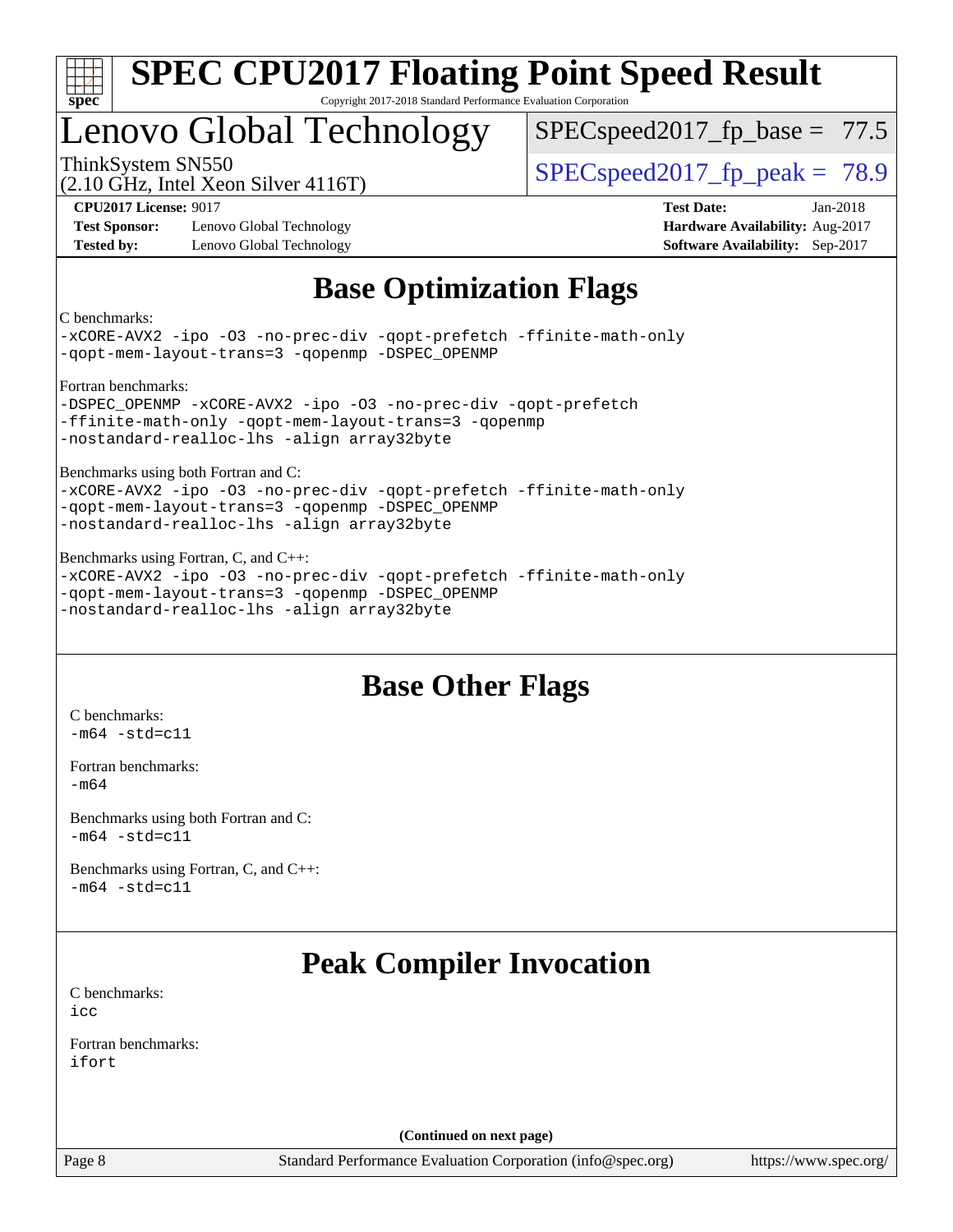

### Lenovo Global Technology

 $SPECspeed2017_fp\_base = 77.5$ 

(2.10 GHz, Intel Xeon Silver 4116T)

ThinkSystem SN550  $S^{2}$  [SPECspeed2017\\_fp\\_peak =](http://www.spec.org/auto/cpu2017/Docs/result-fields.html#SPECspeed2017fppeak) 78.9

**[Test Sponsor:](http://www.spec.org/auto/cpu2017/Docs/result-fields.html#TestSponsor)** Lenovo Global Technology **[Hardware Availability:](http://www.spec.org/auto/cpu2017/Docs/result-fields.html#HardwareAvailability)** Aug-2017 **[Tested by:](http://www.spec.org/auto/cpu2017/Docs/result-fields.html#Testedby)** Lenovo Global Technology **[Software Availability:](http://www.spec.org/auto/cpu2017/Docs/result-fields.html#SoftwareAvailability)** Sep-2017

**[CPU2017 License:](http://www.spec.org/auto/cpu2017/Docs/result-fields.html#CPU2017License)** 9017 **[Test Date:](http://www.spec.org/auto/cpu2017/Docs/result-fields.html#TestDate)** Jan-2018

### **[Base Optimization Flags](http://www.spec.org/auto/cpu2017/Docs/result-fields.html#BaseOptimizationFlags)**

[C benchmarks:](http://www.spec.org/auto/cpu2017/Docs/result-fields.html#Cbenchmarks)

[-xCORE-AVX2](http://www.spec.org/cpu2017/results/res2018q1/cpu2017-20180122-03031.flags.html#user_CCbase_f-xCORE-AVX2) [-ipo](http://www.spec.org/cpu2017/results/res2018q1/cpu2017-20180122-03031.flags.html#user_CCbase_f-ipo) [-O3](http://www.spec.org/cpu2017/results/res2018q1/cpu2017-20180122-03031.flags.html#user_CCbase_f-O3) [-no-prec-div](http://www.spec.org/cpu2017/results/res2018q1/cpu2017-20180122-03031.flags.html#user_CCbase_f-no-prec-div) [-qopt-prefetch](http://www.spec.org/cpu2017/results/res2018q1/cpu2017-20180122-03031.flags.html#user_CCbase_f-qopt-prefetch) [-ffinite-math-only](http://www.spec.org/cpu2017/results/res2018q1/cpu2017-20180122-03031.flags.html#user_CCbase_f_finite_math_only_cb91587bd2077682c4b38af759c288ed7c732db004271a9512da14a4f8007909a5f1427ecbf1a0fb78ff2a814402c6114ac565ca162485bbcae155b5e4258871) [-qopt-mem-layout-trans=3](http://www.spec.org/cpu2017/results/res2018q1/cpu2017-20180122-03031.flags.html#user_CCbase_f-qopt-mem-layout-trans_de80db37974c74b1f0e20d883f0b675c88c3b01e9d123adea9b28688d64333345fb62bc4a798493513fdb68f60282f9a726aa07f478b2f7113531aecce732043) [-qopenmp](http://www.spec.org/cpu2017/results/res2018q1/cpu2017-20180122-03031.flags.html#user_CCbase_qopenmp_16be0c44f24f464004c6784a7acb94aca937f053568ce72f94b139a11c7c168634a55f6653758ddd83bcf7b8463e8028bb0b48b77bcddc6b78d5d95bb1df2967) [-DSPEC\\_OPENMP](http://www.spec.org/cpu2017/results/res2018q1/cpu2017-20180122-03031.flags.html#suite_CCbase_DSPEC_OPENMP)

[Fortran benchmarks:](http://www.spec.org/auto/cpu2017/Docs/result-fields.html#Fortranbenchmarks)

[-DSPEC\\_OPENMP](http://www.spec.org/cpu2017/results/res2018q1/cpu2017-20180122-03031.flags.html#suite_FCbase_DSPEC_OPENMP) [-xCORE-AVX2](http://www.spec.org/cpu2017/results/res2018q1/cpu2017-20180122-03031.flags.html#user_FCbase_f-xCORE-AVX2) [-ipo](http://www.spec.org/cpu2017/results/res2018q1/cpu2017-20180122-03031.flags.html#user_FCbase_f-ipo) [-O3](http://www.spec.org/cpu2017/results/res2018q1/cpu2017-20180122-03031.flags.html#user_FCbase_f-O3) [-no-prec-div](http://www.spec.org/cpu2017/results/res2018q1/cpu2017-20180122-03031.flags.html#user_FCbase_f-no-prec-div) [-qopt-prefetch](http://www.spec.org/cpu2017/results/res2018q1/cpu2017-20180122-03031.flags.html#user_FCbase_f-qopt-prefetch) [-ffinite-math-only](http://www.spec.org/cpu2017/results/res2018q1/cpu2017-20180122-03031.flags.html#user_FCbase_f_finite_math_only_cb91587bd2077682c4b38af759c288ed7c732db004271a9512da14a4f8007909a5f1427ecbf1a0fb78ff2a814402c6114ac565ca162485bbcae155b5e4258871) [-qopt-mem-layout-trans=3](http://www.spec.org/cpu2017/results/res2018q1/cpu2017-20180122-03031.flags.html#user_FCbase_f-qopt-mem-layout-trans_de80db37974c74b1f0e20d883f0b675c88c3b01e9d123adea9b28688d64333345fb62bc4a798493513fdb68f60282f9a726aa07f478b2f7113531aecce732043) [-qopenmp](http://www.spec.org/cpu2017/results/res2018q1/cpu2017-20180122-03031.flags.html#user_FCbase_qopenmp_16be0c44f24f464004c6784a7acb94aca937f053568ce72f94b139a11c7c168634a55f6653758ddd83bcf7b8463e8028bb0b48b77bcddc6b78d5d95bb1df2967) [-nostandard-realloc-lhs](http://www.spec.org/cpu2017/results/res2018q1/cpu2017-20180122-03031.flags.html#user_FCbase_f_2003_std_realloc_82b4557e90729c0f113870c07e44d33d6f5a304b4f63d4c15d2d0f1fab99f5daaed73bdb9275d9ae411527f28b936061aa8b9c8f2d63842963b95c9dd6426b8a) [-align array32byte](http://www.spec.org/cpu2017/results/res2018q1/cpu2017-20180122-03031.flags.html#user_FCbase_align_array32byte_b982fe038af199962ba9a80c053b8342c548c85b40b8e86eb3cc33dee0d7986a4af373ac2d51c3f7cf710a18d62fdce2948f201cd044323541f22fc0fffc51b6)

[Benchmarks using both Fortran and C:](http://www.spec.org/auto/cpu2017/Docs/result-fields.html#BenchmarksusingbothFortranandC)

[-xCORE-AVX2](http://www.spec.org/cpu2017/results/res2018q1/cpu2017-20180122-03031.flags.html#user_CC_FCbase_f-xCORE-AVX2) [-ipo](http://www.spec.org/cpu2017/results/res2018q1/cpu2017-20180122-03031.flags.html#user_CC_FCbase_f-ipo) [-O3](http://www.spec.org/cpu2017/results/res2018q1/cpu2017-20180122-03031.flags.html#user_CC_FCbase_f-O3) [-no-prec-div](http://www.spec.org/cpu2017/results/res2018q1/cpu2017-20180122-03031.flags.html#user_CC_FCbase_f-no-prec-div) [-qopt-prefetch](http://www.spec.org/cpu2017/results/res2018q1/cpu2017-20180122-03031.flags.html#user_CC_FCbase_f-qopt-prefetch) [-ffinite-math-only](http://www.spec.org/cpu2017/results/res2018q1/cpu2017-20180122-03031.flags.html#user_CC_FCbase_f_finite_math_only_cb91587bd2077682c4b38af759c288ed7c732db004271a9512da14a4f8007909a5f1427ecbf1a0fb78ff2a814402c6114ac565ca162485bbcae155b5e4258871) [-qopt-mem-layout-trans=3](http://www.spec.org/cpu2017/results/res2018q1/cpu2017-20180122-03031.flags.html#user_CC_FCbase_f-qopt-mem-layout-trans_de80db37974c74b1f0e20d883f0b675c88c3b01e9d123adea9b28688d64333345fb62bc4a798493513fdb68f60282f9a726aa07f478b2f7113531aecce732043) [-qopenmp](http://www.spec.org/cpu2017/results/res2018q1/cpu2017-20180122-03031.flags.html#user_CC_FCbase_qopenmp_16be0c44f24f464004c6784a7acb94aca937f053568ce72f94b139a11c7c168634a55f6653758ddd83bcf7b8463e8028bb0b48b77bcddc6b78d5d95bb1df2967) [-DSPEC\\_OPENMP](http://www.spec.org/cpu2017/results/res2018q1/cpu2017-20180122-03031.flags.html#suite_CC_FCbase_DSPEC_OPENMP) [-nostandard-realloc-lhs](http://www.spec.org/cpu2017/results/res2018q1/cpu2017-20180122-03031.flags.html#user_CC_FCbase_f_2003_std_realloc_82b4557e90729c0f113870c07e44d33d6f5a304b4f63d4c15d2d0f1fab99f5daaed73bdb9275d9ae411527f28b936061aa8b9c8f2d63842963b95c9dd6426b8a) [-align array32byte](http://www.spec.org/cpu2017/results/res2018q1/cpu2017-20180122-03031.flags.html#user_CC_FCbase_align_array32byte_b982fe038af199962ba9a80c053b8342c548c85b40b8e86eb3cc33dee0d7986a4af373ac2d51c3f7cf710a18d62fdce2948f201cd044323541f22fc0fffc51b6)

[Benchmarks using Fortran, C, and C++:](http://www.spec.org/auto/cpu2017/Docs/result-fields.html#BenchmarksusingFortranCandCXX) [-xCORE-AVX2](http://www.spec.org/cpu2017/results/res2018q1/cpu2017-20180122-03031.flags.html#user_CC_CXX_FCbase_f-xCORE-AVX2) [-ipo](http://www.spec.org/cpu2017/results/res2018q1/cpu2017-20180122-03031.flags.html#user_CC_CXX_FCbase_f-ipo) [-O3](http://www.spec.org/cpu2017/results/res2018q1/cpu2017-20180122-03031.flags.html#user_CC_CXX_FCbase_f-O3) [-no-prec-div](http://www.spec.org/cpu2017/results/res2018q1/cpu2017-20180122-03031.flags.html#user_CC_CXX_FCbase_f-no-prec-div) [-qopt-prefetch](http://www.spec.org/cpu2017/results/res2018q1/cpu2017-20180122-03031.flags.html#user_CC_CXX_FCbase_f-qopt-prefetch) [-ffinite-math-only](http://www.spec.org/cpu2017/results/res2018q1/cpu2017-20180122-03031.flags.html#user_CC_CXX_FCbase_f_finite_math_only_cb91587bd2077682c4b38af759c288ed7c732db004271a9512da14a4f8007909a5f1427ecbf1a0fb78ff2a814402c6114ac565ca162485bbcae155b5e4258871) [-qopt-mem-layout-trans=3](http://www.spec.org/cpu2017/results/res2018q1/cpu2017-20180122-03031.flags.html#user_CC_CXX_FCbase_f-qopt-mem-layout-trans_de80db37974c74b1f0e20d883f0b675c88c3b01e9d123adea9b28688d64333345fb62bc4a798493513fdb68f60282f9a726aa07f478b2f7113531aecce732043) [-qopenmp](http://www.spec.org/cpu2017/results/res2018q1/cpu2017-20180122-03031.flags.html#user_CC_CXX_FCbase_qopenmp_16be0c44f24f464004c6784a7acb94aca937f053568ce72f94b139a11c7c168634a55f6653758ddd83bcf7b8463e8028bb0b48b77bcddc6b78d5d95bb1df2967) [-DSPEC\\_OPENMP](http://www.spec.org/cpu2017/results/res2018q1/cpu2017-20180122-03031.flags.html#suite_CC_CXX_FCbase_DSPEC_OPENMP) [-nostandard-realloc-lhs](http://www.spec.org/cpu2017/results/res2018q1/cpu2017-20180122-03031.flags.html#user_CC_CXX_FCbase_f_2003_std_realloc_82b4557e90729c0f113870c07e44d33d6f5a304b4f63d4c15d2d0f1fab99f5daaed73bdb9275d9ae411527f28b936061aa8b9c8f2d63842963b95c9dd6426b8a) [-align array32byte](http://www.spec.org/cpu2017/results/res2018q1/cpu2017-20180122-03031.flags.html#user_CC_CXX_FCbase_align_array32byte_b982fe038af199962ba9a80c053b8342c548c85b40b8e86eb3cc33dee0d7986a4af373ac2d51c3f7cf710a18d62fdce2948f201cd044323541f22fc0fffc51b6)

### **[Base Other Flags](http://www.spec.org/auto/cpu2017/Docs/result-fields.html#BaseOtherFlags)**

[C benchmarks](http://www.spec.org/auto/cpu2017/Docs/result-fields.html#Cbenchmarks):  $-m64 - std= c11$  $-m64 - std= c11$ 

[Fortran benchmarks](http://www.spec.org/auto/cpu2017/Docs/result-fields.html#Fortranbenchmarks): [-m64](http://www.spec.org/cpu2017/results/res2018q1/cpu2017-20180122-03031.flags.html#user_FCbase_intel_intel64_18.0_af43caccfc8ded86e7699f2159af6efc7655f51387b94da716254467f3c01020a5059329e2569e4053f409e7c9202a7efc638f7a6d1ffb3f52dea4a3e31d82ab)

[Benchmarks using both Fortran and C](http://www.spec.org/auto/cpu2017/Docs/result-fields.html#BenchmarksusingbothFortranandC):  $-m64$   $-std=cl1$ 

[Benchmarks using Fortran, C, and C++:](http://www.spec.org/auto/cpu2017/Docs/result-fields.html#BenchmarksusingFortranCandCXX)  $-m64 - std= c11$  $-m64 - std= c11$ 

### **[Peak Compiler Invocation](http://www.spec.org/auto/cpu2017/Docs/result-fields.html#PeakCompilerInvocation)**

[C benchmarks](http://www.spec.org/auto/cpu2017/Docs/result-fields.html#Cbenchmarks): [icc](http://www.spec.org/cpu2017/results/res2018q1/cpu2017-20180122-03031.flags.html#user_CCpeak_intel_icc_18.0_66fc1ee009f7361af1fbd72ca7dcefbb700085f36577c54f309893dd4ec40d12360134090235512931783d35fd58c0460139e722d5067c5574d8eaf2b3e37e92)

[Fortran benchmarks](http://www.spec.org/auto/cpu2017/Docs/result-fields.html#Fortranbenchmarks): [ifort](http://www.spec.org/cpu2017/results/res2018q1/cpu2017-20180122-03031.flags.html#user_FCpeak_intel_ifort_18.0_8111460550e3ca792625aed983ce982f94888b8b503583aa7ba2b8303487b4d8a21a13e7191a45c5fd58ff318f48f9492884d4413fa793fd88dd292cad7027ca)

**(Continued on next page)**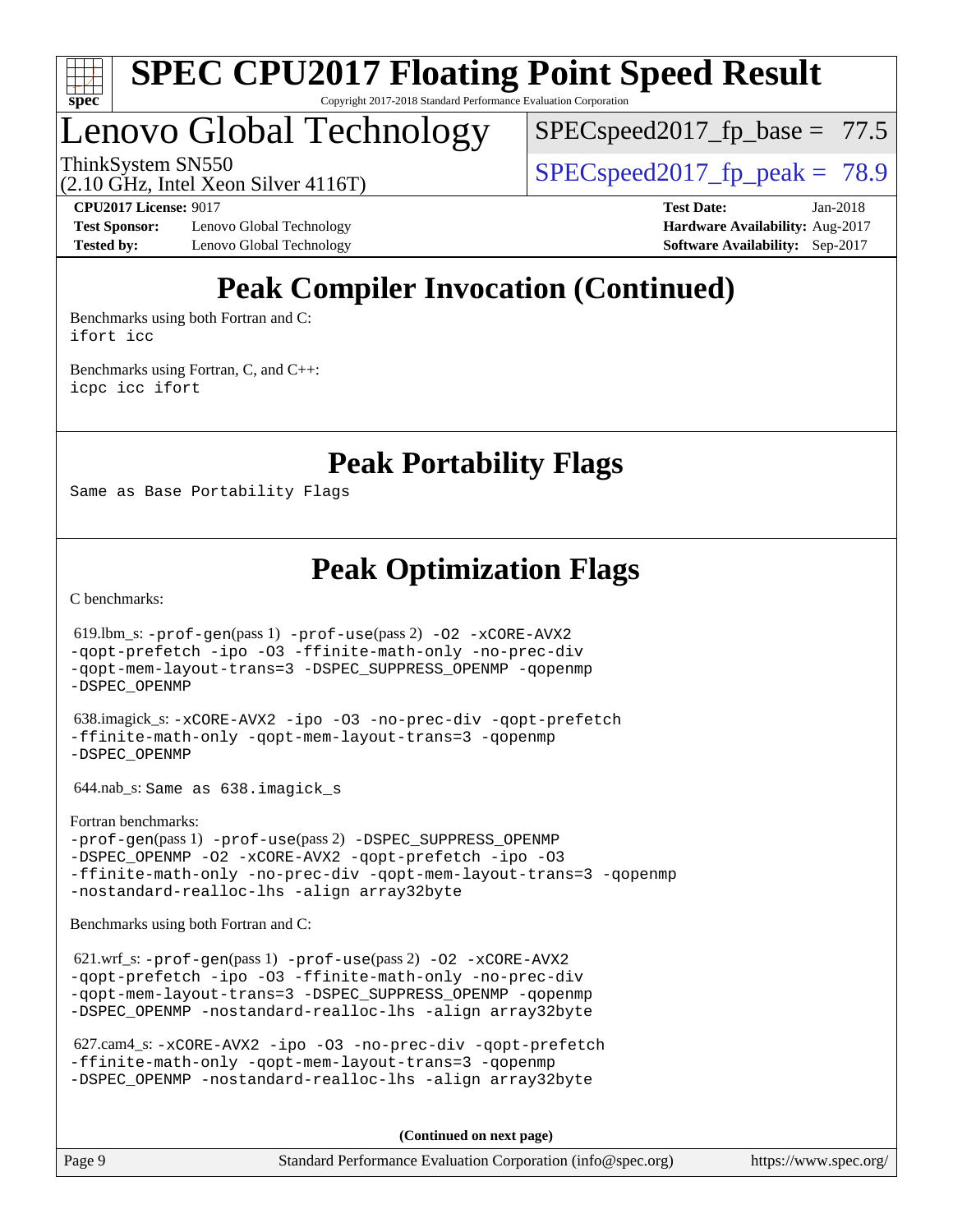

### Lenovo Global Technology

 $SPECspeed2017_fp\_base = 77.5$ 

ThinkSystem SN550<br>(2.10 GHz, Intel Yean Silver 4116T) [SPECspeed2017\\_fp\\_peak =](http://www.spec.org/auto/cpu2017/Docs/result-fields.html#SPECspeed2017fppeak) 78.9

(2.10 GHz, Intel Xeon Silver 4116T)

**[Test Sponsor:](http://www.spec.org/auto/cpu2017/Docs/result-fields.html#TestSponsor)** Lenovo Global Technology **[Hardware Availability:](http://www.spec.org/auto/cpu2017/Docs/result-fields.html#HardwareAvailability)** Aug-2017 **[Tested by:](http://www.spec.org/auto/cpu2017/Docs/result-fields.html#Testedby)** Lenovo Global Technology **[Software Availability:](http://www.spec.org/auto/cpu2017/Docs/result-fields.html#SoftwareAvailability)** Sep-2017

**[CPU2017 License:](http://www.spec.org/auto/cpu2017/Docs/result-fields.html#CPU2017License)** 9017 **[Test Date:](http://www.spec.org/auto/cpu2017/Docs/result-fields.html#TestDate)** Jan-2018

### **[Peak Compiler Invocation \(Continued\)](http://www.spec.org/auto/cpu2017/Docs/result-fields.html#PeakCompilerInvocation)**

[Benchmarks using both Fortran and C](http://www.spec.org/auto/cpu2017/Docs/result-fields.html#BenchmarksusingbothFortranandC): [ifort](http://www.spec.org/cpu2017/results/res2018q1/cpu2017-20180122-03031.flags.html#user_CC_FCpeak_intel_ifort_18.0_8111460550e3ca792625aed983ce982f94888b8b503583aa7ba2b8303487b4d8a21a13e7191a45c5fd58ff318f48f9492884d4413fa793fd88dd292cad7027ca) [icc](http://www.spec.org/cpu2017/results/res2018q1/cpu2017-20180122-03031.flags.html#user_CC_FCpeak_intel_icc_18.0_66fc1ee009f7361af1fbd72ca7dcefbb700085f36577c54f309893dd4ec40d12360134090235512931783d35fd58c0460139e722d5067c5574d8eaf2b3e37e92)

[Benchmarks using Fortran, C, and C++:](http://www.spec.org/auto/cpu2017/Docs/result-fields.html#BenchmarksusingFortranCandCXX) [icpc](http://www.spec.org/cpu2017/results/res2018q1/cpu2017-20180122-03031.flags.html#user_CC_CXX_FCpeak_intel_icpc_18.0_c510b6838c7f56d33e37e94d029a35b4a7bccf4766a728ee175e80a419847e808290a9b78be685c44ab727ea267ec2f070ec5dc83b407c0218cded6866a35d07) [icc](http://www.spec.org/cpu2017/results/res2018q1/cpu2017-20180122-03031.flags.html#user_CC_CXX_FCpeak_intel_icc_18.0_66fc1ee009f7361af1fbd72ca7dcefbb700085f36577c54f309893dd4ec40d12360134090235512931783d35fd58c0460139e722d5067c5574d8eaf2b3e37e92) [ifort](http://www.spec.org/cpu2017/results/res2018q1/cpu2017-20180122-03031.flags.html#user_CC_CXX_FCpeak_intel_ifort_18.0_8111460550e3ca792625aed983ce982f94888b8b503583aa7ba2b8303487b4d8a21a13e7191a45c5fd58ff318f48f9492884d4413fa793fd88dd292cad7027ca)

**[Peak Portability Flags](http://www.spec.org/auto/cpu2017/Docs/result-fields.html#PeakPortabilityFlags)**

Same as Base Portability Flags

**[Peak Optimization Flags](http://www.spec.org/auto/cpu2017/Docs/result-fields.html#PeakOptimizationFlags)**

[C benchmarks](http://www.spec.org/auto/cpu2017/Docs/result-fields.html#Cbenchmarks):

 619.lbm\_s: [-prof-gen](http://www.spec.org/cpu2017/results/res2018q1/cpu2017-20180122-03031.flags.html#user_peakPASS1_CFLAGSPASS1_LDFLAGS619_lbm_s_prof_gen_5aa4926d6013ddb2a31985c654b3eb18169fc0c6952a63635c234f711e6e63dd76e94ad52365559451ec499a2cdb89e4dc58ba4c67ef54ca681ffbe1461d6b36)(pass 1) [-prof-use](http://www.spec.org/cpu2017/results/res2018q1/cpu2017-20180122-03031.flags.html#user_peakPASS2_CFLAGSPASS2_LDFLAGS619_lbm_s_prof_use_1a21ceae95f36a2b53c25747139a6c16ca95bd9def2a207b4f0849963b97e94f5260e30a0c64f4bb623698870e679ca08317ef8150905d41bd88c6f78df73f19)(pass 2) [-O2](http://www.spec.org/cpu2017/results/res2018q1/cpu2017-20180122-03031.flags.html#user_peakPASS1_COPTIMIZE619_lbm_s_f-O2) [-xCORE-AVX2](http://www.spec.org/cpu2017/results/res2018q1/cpu2017-20180122-03031.flags.html#user_peakPASS2_COPTIMIZE619_lbm_s_f-xCORE-AVX2) [-qopt-prefetch](http://www.spec.org/cpu2017/results/res2018q1/cpu2017-20180122-03031.flags.html#user_peakPASS1_COPTIMIZEPASS2_COPTIMIZE619_lbm_s_f-qopt-prefetch) [-ipo](http://www.spec.org/cpu2017/results/res2018q1/cpu2017-20180122-03031.flags.html#user_peakPASS2_COPTIMIZE619_lbm_s_f-ipo) [-O3](http://www.spec.org/cpu2017/results/res2018q1/cpu2017-20180122-03031.flags.html#user_peakPASS2_COPTIMIZE619_lbm_s_f-O3) [-ffinite-math-only](http://www.spec.org/cpu2017/results/res2018q1/cpu2017-20180122-03031.flags.html#user_peakPASS1_COPTIMIZEPASS2_COPTIMIZE619_lbm_s_f_finite_math_only_cb91587bd2077682c4b38af759c288ed7c732db004271a9512da14a4f8007909a5f1427ecbf1a0fb78ff2a814402c6114ac565ca162485bbcae155b5e4258871) [-no-prec-div](http://www.spec.org/cpu2017/results/res2018q1/cpu2017-20180122-03031.flags.html#user_peakPASS2_COPTIMIZE619_lbm_s_f-no-prec-div) [-qopt-mem-layout-trans=3](http://www.spec.org/cpu2017/results/res2018q1/cpu2017-20180122-03031.flags.html#user_peakPASS1_COPTIMIZEPASS2_COPTIMIZE619_lbm_s_f-qopt-mem-layout-trans_de80db37974c74b1f0e20d883f0b675c88c3b01e9d123adea9b28688d64333345fb62bc4a798493513fdb68f60282f9a726aa07f478b2f7113531aecce732043) [-DSPEC\\_SUPPRESS\\_OPENMP](http://www.spec.org/cpu2017/results/res2018q1/cpu2017-20180122-03031.flags.html#suite_peakPASS1_COPTIMIZE619_lbm_s_DSPEC_SUPPRESS_OPENMP) [-qopenmp](http://www.spec.org/cpu2017/results/res2018q1/cpu2017-20180122-03031.flags.html#user_peakPASS2_COPTIMIZE619_lbm_s_qopenmp_16be0c44f24f464004c6784a7acb94aca937f053568ce72f94b139a11c7c168634a55f6653758ddd83bcf7b8463e8028bb0b48b77bcddc6b78d5d95bb1df2967) [-DSPEC\\_OPENMP](http://www.spec.org/cpu2017/results/res2018q1/cpu2017-20180122-03031.flags.html#suite_peakPASS2_COPTIMIZE619_lbm_s_DSPEC_OPENMP) 638.imagick\_s: [-xCORE-AVX2](http://www.spec.org/cpu2017/results/res2018q1/cpu2017-20180122-03031.flags.html#user_peakCOPTIMIZE638_imagick_s_f-xCORE-AVX2) [-ipo](http://www.spec.org/cpu2017/results/res2018q1/cpu2017-20180122-03031.flags.html#user_peakCOPTIMIZE638_imagick_s_f-ipo) [-O3](http://www.spec.org/cpu2017/results/res2018q1/cpu2017-20180122-03031.flags.html#user_peakCOPTIMIZE638_imagick_s_f-O3) [-no-prec-div](http://www.spec.org/cpu2017/results/res2018q1/cpu2017-20180122-03031.flags.html#user_peakCOPTIMIZE638_imagick_s_f-no-prec-div) [-qopt-prefetch](http://www.spec.org/cpu2017/results/res2018q1/cpu2017-20180122-03031.flags.html#user_peakCOPTIMIZE638_imagick_s_f-qopt-prefetch) [-ffinite-math-only](http://www.spec.org/cpu2017/results/res2018q1/cpu2017-20180122-03031.flags.html#user_peakCOPTIMIZE638_imagick_s_f_finite_math_only_cb91587bd2077682c4b38af759c288ed7c732db004271a9512da14a4f8007909a5f1427ecbf1a0fb78ff2a814402c6114ac565ca162485bbcae155b5e4258871) [-qopt-mem-layout-trans=3](http://www.spec.org/cpu2017/results/res2018q1/cpu2017-20180122-03031.flags.html#user_peakCOPTIMIZE638_imagick_s_f-qopt-mem-layout-trans_de80db37974c74b1f0e20d883f0b675c88c3b01e9d123adea9b28688d64333345fb62bc4a798493513fdb68f60282f9a726aa07f478b2f7113531aecce732043) [-qopenmp](http://www.spec.org/cpu2017/results/res2018q1/cpu2017-20180122-03031.flags.html#user_peakCOPTIMIZE638_imagick_s_qopenmp_16be0c44f24f464004c6784a7acb94aca937f053568ce72f94b139a11c7c168634a55f6653758ddd83bcf7b8463e8028bb0b48b77bcddc6b78d5d95bb1df2967) [-DSPEC\\_OPENMP](http://www.spec.org/cpu2017/results/res2018q1/cpu2017-20180122-03031.flags.html#suite_peakCOPTIMIZE638_imagick_s_DSPEC_OPENMP) 644.nab\_s: Same as 638.imagick\_s [Fortran benchmarks](http://www.spec.org/auto/cpu2017/Docs/result-fields.html#Fortranbenchmarks): [-prof-gen](http://www.spec.org/cpu2017/results/res2018q1/cpu2017-20180122-03031.flags.html#user_FCpeak_prof_gen_5aa4926d6013ddb2a31985c654b3eb18169fc0c6952a63635c234f711e6e63dd76e94ad52365559451ec499a2cdb89e4dc58ba4c67ef54ca681ffbe1461d6b36)(pass 1) [-prof-use](http://www.spec.org/cpu2017/results/res2018q1/cpu2017-20180122-03031.flags.html#user_FCpeak_prof_use_1a21ceae95f36a2b53c25747139a6c16ca95bd9def2a207b4f0849963b97e94f5260e30a0c64f4bb623698870e679ca08317ef8150905d41bd88c6f78df73f19)(pass 2) [-DSPEC\\_SUPPRESS\\_OPENMP](http://www.spec.org/cpu2017/results/res2018q1/cpu2017-20180122-03031.flags.html#suite_FCpeak_DSPEC_SUPPRESS_OPENMP) [-DSPEC\\_OPENMP](http://www.spec.org/cpu2017/results/res2018q1/cpu2017-20180122-03031.flags.html#suite_FCpeak_DSPEC_OPENMP) [-O2](http://www.spec.org/cpu2017/results/res2018q1/cpu2017-20180122-03031.flags.html#user_FCpeak_f-O2) [-xCORE-AVX2](http://www.spec.org/cpu2017/results/res2018q1/cpu2017-20180122-03031.flags.html#user_FCpeak_f-xCORE-AVX2) [-qopt-prefetch](http://www.spec.org/cpu2017/results/res2018q1/cpu2017-20180122-03031.flags.html#user_FCpeak_f-qopt-prefetch) [-ipo](http://www.spec.org/cpu2017/results/res2018q1/cpu2017-20180122-03031.flags.html#user_FCpeak_f-ipo) [-O3](http://www.spec.org/cpu2017/results/res2018q1/cpu2017-20180122-03031.flags.html#user_FCpeak_f-O3) [-ffinite-math-only](http://www.spec.org/cpu2017/results/res2018q1/cpu2017-20180122-03031.flags.html#user_FCpeak_f_finite_math_only_cb91587bd2077682c4b38af759c288ed7c732db004271a9512da14a4f8007909a5f1427ecbf1a0fb78ff2a814402c6114ac565ca162485bbcae155b5e4258871) [-no-prec-div](http://www.spec.org/cpu2017/results/res2018q1/cpu2017-20180122-03031.flags.html#user_FCpeak_f-no-prec-div) [-qopt-mem-layout-trans=3](http://www.spec.org/cpu2017/results/res2018q1/cpu2017-20180122-03031.flags.html#user_FCpeak_f-qopt-mem-layout-trans_de80db37974c74b1f0e20d883f0b675c88c3b01e9d123adea9b28688d64333345fb62bc4a798493513fdb68f60282f9a726aa07f478b2f7113531aecce732043) [-qopenmp](http://www.spec.org/cpu2017/results/res2018q1/cpu2017-20180122-03031.flags.html#user_FCpeak_qopenmp_16be0c44f24f464004c6784a7acb94aca937f053568ce72f94b139a11c7c168634a55f6653758ddd83bcf7b8463e8028bb0b48b77bcddc6b78d5d95bb1df2967) [-nostandard-realloc-lhs](http://www.spec.org/cpu2017/results/res2018q1/cpu2017-20180122-03031.flags.html#user_FCpeak_f_2003_std_realloc_82b4557e90729c0f113870c07e44d33d6f5a304b4f63d4c15d2d0f1fab99f5daaed73bdb9275d9ae411527f28b936061aa8b9c8f2d63842963b95c9dd6426b8a) [-align array32byte](http://www.spec.org/cpu2017/results/res2018q1/cpu2017-20180122-03031.flags.html#user_FCpeak_align_array32byte_b982fe038af199962ba9a80c053b8342c548c85b40b8e86eb3cc33dee0d7986a4af373ac2d51c3f7cf710a18d62fdce2948f201cd044323541f22fc0fffc51b6) [Benchmarks using both Fortran and C](http://www.spec.org/auto/cpu2017/Docs/result-fields.html#BenchmarksusingbothFortranandC): 621.wrf\_s: [-prof-gen](http://www.spec.org/cpu2017/results/res2018q1/cpu2017-20180122-03031.flags.html#user_peakPASS1_CFLAGSPASS1_FFLAGSPASS1_LDFLAGS621_wrf_s_prof_gen_5aa4926d6013ddb2a31985c654b3eb18169fc0c6952a63635c234f711e6e63dd76e94ad52365559451ec499a2cdb89e4dc58ba4c67ef54ca681ffbe1461d6b36)(pass 1) [-prof-use](http://www.spec.org/cpu2017/results/res2018q1/cpu2017-20180122-03031.flags.html#user_peakPASS2_CFLAGSPASS2_FFLAGSPASS2_LDFLAGS621_wrf_s_prof_use_1a21ceae95f36a2b53c25747139a6c16ca95bd9def2a207b4f0849963b97e94f5260e30a0c64f4bb623698870e679ca08317ef8150905d41bd88c6f78df73f19)(pass 2) [-O2](http://www.spec.org/cpu2017/results/res2018q1/cpu2017-20180122-03031.flags.html#user_peakPASS1_COPTIMIZEPASS1_FOPTIMIZE621_wrf_s_f-O2) [-xCORE-AVX2](http://www.spec.org/cpu2017/results/res2018q1/cpu2017-20180122-03031.flags.html#user_peakPASS2_COPTIMIZEPASS2_FOPTIMIZE621_wrf_s_f-xCORE-AVX2) [-qopt-prefetch](http://www.spec.org/cpu2017/results/res2018q1/cpu2017-20180122-03031.flags.html#user_peakPASS1_COPTIMIZEPASS1_FOPTIMIZEPASS2_COPTIMIZEPASS2_FOPTIMIZE621_wrf_s_f-qopt-prefetch) [-ipo](http://www.spec.org/cpu2017/results/res2018q1/cpu2017-20180122-03031.flags.html#user_peakPASS2_COPTIMIZEPASS2_FOPTIMIZE621_wrf_s_f-ipo) [-O3](http://www.spec.org/cpu2017/results/res2018q1/cpu2017-20180122-03031.flags.html#user_peakPASS2_COPTIMIZEPASS2_FOPTIMIZE621_wrf_s_f-O3) [-ffinite-math-only](http://www.spec.org/cpu2017/results/res2018q1/cpu2017-20180122-03031.flags.html#user_peakPASS1_COPTIMIZEPASS1_FOPTIMIZEPASS2_COPTIMIZEPASS2_FOPTIMIZE621_wrf_s_f_finite_math_only_cb91587bd2077682c4b38af759c288ed7c732db004271a9512da14a4f8007909a5f1427ecbf1a0fb78ff2a814402c6114ac565ca162485bbcae155b5e4258871) [-no-prec-div](http://www.spec.org/cpu2017/results/res2018q1/cpu2017-20180122-03031.flags.html#user_peakPASS2_COPTIMIZEPASS2_FOPTIMIZE621_wrf_s_f-no-prec-div) [-qopt-mem-layout-trans=3](http://www.spec.org/cpu2017/results/res2018q1/cpu2017-20180122-03031.flags.html#user_peakPASS1_COPTIMIZEPASS1_FOPTIMIZEPASS2_COPTIMIZEPASS2_FOPTIMIZE621_wrf_s_f-qopt-mem-layout-trans_de80db37974c74b1f0e20d883f0b675c88c3b01e9d123adea9b28688d64333345fb62bc4a798493513fdb68f60282f9a726aa07f478b2f7113531aecce732043) [-DSPEC\\_SUPPRESS\\_OPENMP](http://www.spec.org/cpu2017/results/res2018q1/cpu2017-20180122-03031.flags.html#suite_peakPASS1_COPTIMIZEPASS1_FOPTIMIZE621_wrf_s_DSPEC_SUPPRESS_OPENMP) [-qopenmp](http://www.spec.org/cpu2017/results/res2018q1/cpu2017-20180122-03031.flags.html#user_peakPASS2_COPTIMIZEPASS2_FOPTIMIZE621_wrf_s_qopenmp_16be0c44f24f464004c6784a7acb94aca937f053568ce72f94b139a11c7c168634a55f6653758ddd83bcf7b8463e8028bb0b48b77bcddc6b78d5d95bb1df2967)

 627.cam4\_s: [-xCORE-AVX2](http://www.spec.org/cpu2017/results/res2018q1/cpu2017-20180122-03031.flags.html#user_peakCOPTIMIZEFOPTIMIZE627_cam4_s_f-xCORE-AVX2) [-ipo](http://www.spec.org/cpu2017/results/res2018q1/cpu2017-20180122-03031.flags.html#user_peakCOPTIMIZEFOPTIMIZE627_cam4_s_f-ipo) [-O3](http://www.spec.org/cpu2017/results/res2018q1/cpu2017-20180122-03031.flags.html#user_peakCOPTIMIZEFOPTIMIZE627_cam4_s_f-O3) [-no-prec-div](http://www.spec.org/cpu2017/results/res2018q1/cpu2017-20180122-03031.flags.html#user_peakCOPTIMIZEFOPTIMIZE627_cam4_s_f-no-prec-div) [-qopt-prefetch](http://www.spec.org/cpu2017/results/res2018q1/cpu2017-20180122-03031.flags.html#user_peakCOPTIMIZEFOPTIMIZE627_cam4_s_f-qopt-prefetch) [-ffinite-math-only](http://www.spec.org/cpu2017/results/res2018q1/cpu2017-20180122-03031.flags.html#user_peakCOPTIMIZEFOPTIMIZE627_cam4_s_f_finite_math_only_cb91587bd2077682c4b38af759c288ed7c732db004271a9512da14a4f8007909a5f1427ecbf1a0fb78ff2a814402c6114ac565ca162485bbcae155b5e4258871) [-qopt-mem-layout-trans=3](http://www.spec.org/cpu2017/results/res2018q1/cpu2017-20180122-03031.flags.html#user_peakCOPTIMIZEFOPTIMIZE627_cam4_s_f-qopt-mem-layout-trans_de80db37974c74b1f0e20d883f0b675c88c3b01e9d123adea9b28688d64333345fb62bc4a798493513fdb68f60282f9a726aa07f478b2f7113531aecce732043) [-qopenmp](http://www.spec.org/cpu2017/results/res2018q1/cpu2017-20180122-03031.flags.html#user_peakCOPTIMIZEFOPTIMIZE627_cam4_s_qopenmp_16be0c44f24f464004c6784a7acb94aca937f053568ce72f94b139a11c7c168634a55f6653758ddd83bcf7b8463e8028bb0b48b77bcddc6b78d5d95bb1df2967) [-DSPEC\\_OPENMP](http://www.spec.org/cpu2017/results/res2018q1/cpu2017-20180122-03031.flags.html#suite_peakCOPTIMIZEFOPTIMIZE627_cam4_s_DSPEC_OPENMP) [-nostandard-realloc-lhs](http://www.spec.org/cpu2017/results/res2018q1/cpu2017-20180122-03031.flags.html#user_peakEXTRA_FOPTIMIZE627_cam4_s_f_2003_std_realloc_82b4557e90729c0f113870c07e44d33d6f5a304b4f63d4c15d2d0f1fab99f5daaed73bdb9275d9ae411527f28b936061aa8b9c8f2d63842963b95c9dd6426b8a) [-align array32byte](http://www.spec.org/cpu2017/results/res2018q1/cpu2017-20180122-03031.flags.html#user_peakEXTRA_FOPTIMIZE627_cam4_s_align_array32byte_b982fe038af199962ba9a80c053b8342c548c85b40b8e86eb3cc33dee0d7986a4af373ac2d51c3f7cf710a18d62fdce2948f201cd044323541f22fc0fffc51b6)

[-DSPEC\\_OPENMP](http://www.spec.org/cpu2017/results/res2018q1/cpu2017-20180122-03031.flags.html#suite_peakPASS2_COPTIMIZEPASS2_FOPTIMIZE621_wrf_s_DSPEC_OPENMP) [-nostandard-realloc-lhs](http://www.spec.org/cpu2017/results/res2018q1/cpu2017-20180122-03031.flags.html#user_peakEXTRA_FOPTIMIZE621_wrf_s_f_2003_std_realloc_82b4557e90729c0f113870c07e44d33d6f5a304b4f63d4c15d2d0f1fab99f5daaed73bdb9275d9ae411527f28b936061aa8b9c8f2d63842963b95c9dd6426b8a) [-align array32byte](http://www.spec.org/cpu2017/results/res2018q1/cpu2017-20180122-03031.flags.html#user_peakEXTRA_FOPTIMIZE621_wrf_s_align_array32byte_b982fe038af199962ba9a80c053b8342c548c85b40b8e86eb3cc33dee0d7986a4af373ac2d51c3f7cf710a18d62fdce2948f201cd044323541f22fc0fffc51b6)

**(Continued on next page)**